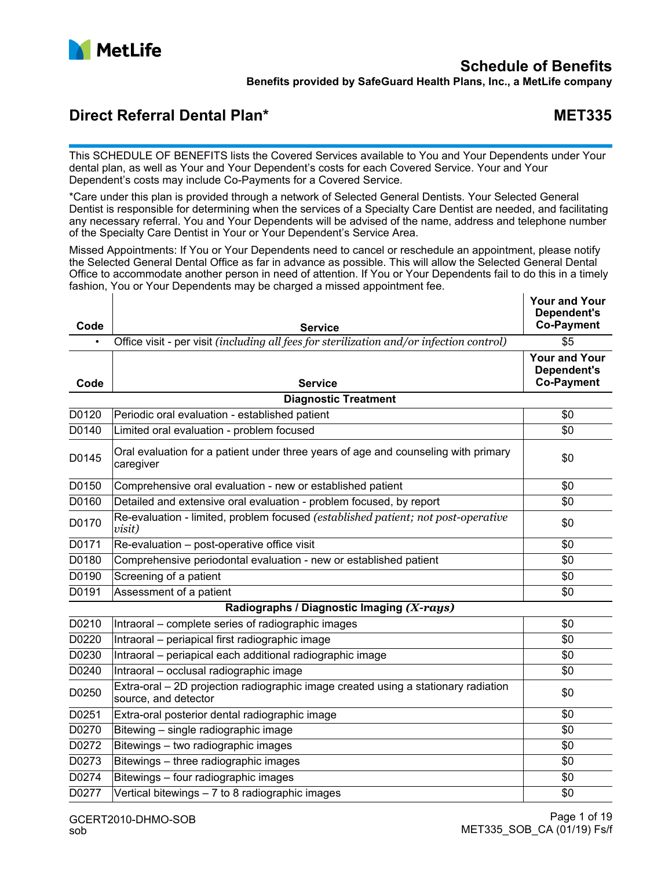

# **Schedule of Benefits**

**Benefits provided by SafeGuard Health Plans, Inc., a MetLife company**

## **Direct Referral Dental Plan\* MET335**

This SCHEDULE OF BENEFITS lists the Covered Services available to You and Your Dependents under Your dental plan, as well as Your and Your Dependent's costs for each Covered Service. Your and Your Dependent's costs may include Co-Payments for a Covered Service.

\*Care under this plan is provided through a network of Selected General Dentists. Your Selected General Dentist is responsible for determining when the services of a Specialty Care Dentist are needed, and facilitating any necessary referral. You and Your Dependents will be advised of the name, address and telephone number of the Specialty Care Dentist in Your or Your Dependent's Service Area.

Missed Appointments: If You or Your Dependents need to cancel or reschedule an appointment, please notify the Selected General Dental Office as far in advance as possible. This will allow the Selected General Dental Office to accommodate another person in need of attention. If You or Your Dependents fail to do this in a timely fashion, You or Your Dependents may be charged a missed appointment fee.

| Code      | <b>Service</b>                                                                                             | <b>Your and Your</b><br>Dependent's<br><b>Co-Payment</b> |
|-----------|------------------------------------------------------------------------------------------------------------|----------------------------------------------------------|
| $\bullet$ | Office visit - per visit (including all fees for sterilization and/or infection control)                   | $\overline{\$5}$                                         |
| Code      | Service                                                                                                    | <b>Your and Your</b><br>Dependent's<br><b>Co-Payment</b> |
|           | <b>Diagnostic Treatment</b>                                                                                |                                                          |
| D0120     | Periodic oral evaluation - established patient                                                             | \$0                                                      |
| D0140     | Limited oral evaluation - problem focused                                                                  | \$0                                                      |
| D0145     | Oral evaluation for a patient under three years of age and counseling with primary<br>caregiver            | \$0                                                      |
| D0150     | Comprehensive oral evaluation - new or established patient                                                 | \$0                                                      |
| D0160     | Detailed and extensive oral evaluation - problem focused, by report                                        | \$0                                                      |
| D0170     | Re-evaluation - limited, problem focused (established patient; not post-operative<br>visit)                | \$0                                                      |
| D0171     | Re-evaluation - post-operative office visit                                                                | \$0                                                      |
| D0180     | Comprehensive periodontal evaluation - new or established patient                                          | \$0                                                      |
| D0190     | Screening of a patient                                                                                     | \$0                                                      |
| D0191     | Assessment of a patient                                                                                    | \$0                                                      |
|           | Radiographs / Diagnostic Imaging (X-rays)                                                                  |                                                          |
| D0210     | Intraoral – complete series of radiographic images                                                         | \$0                                                      |
| D0220     | Intraoral - periapical first radiographic image                                                            | \$0                                                      |
| D0230     | Intraoral - periapical each additional radiographic image                                                  | \$0                                                      |
| D0240     | Intraoral - occlusal radiographic image                                                                    | \$0                                                      |
| D0250     | Extra-oral - 2D projection radiographic image created using a stationary radiation<br>source, and detector | \$0                                                      |
| D0251     | Extra-oral posterior dental radiographic image                                                             | \$0                                                      |
| D0270     | Bitewing - single radiographic image                                                                       | \$0                                                      |
| D0272     | Bitewings - two radiographic images                                                                        | \$0                                                      |
| D0273     | Bitewings - three radiographic images                                                                      | \$0                                                      |
| D0274     | Bitewings - four radiographic images                                                                       | \$0                                                      |
| D0277     | Vertical bitewings - 7 to 8 radiographic images                                                            | \$0                                                      |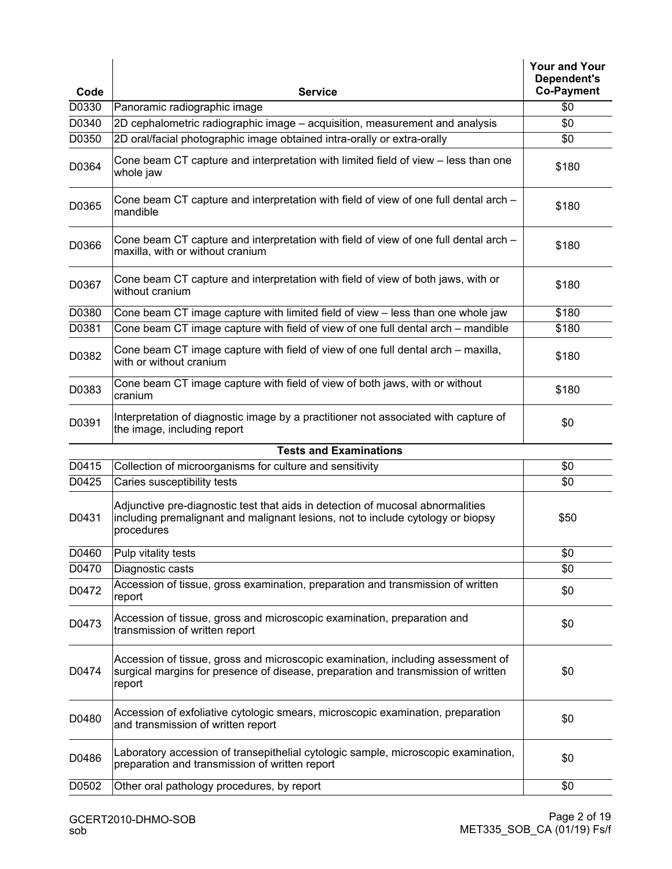|       |                                                                                                                                                                                 | <b>Your and Your</b><br>Dependent's |
|-------|---------------------------------------------------------------------------------------------------------------------------------------------------------------------------------|-------------------------------------|
| Code  | <b>Service</b>                                                                                                                                                                  | <b>Co-Payment</b>                   |
| D0330 | Panoramic radiographic image                                                                                                                                                    | \$0                                 |
| D0340 | 2D cephalometric radiographic image - acquisition, measurement and analysis                                                                                                     | \$0                                 |
| D0350 | 2D oral/facial photographic image obtained intra-orally or extra-orally                                                                                                         | \$0                                 |
| D0364 | Cone beam CT capture and interpretation with limited field of view – less than one<br>whole jaw                                                                                 | \$180                               |
| D0365 | Cone beam CT capture and interpretation with field of view of one full dental arch -<br>mandible                                                                                | \$180                               |
| D0366 | Cone beam CT capture and interpretation with field of view of one full dental arch -<br>maxilla, with or without cranium                                                        | \$180                               |
| D0367 | Cone beam CT capture and interpretation with field of view of both jaws, with or<br>without cranium                                                                             | \$180                               |
| D0380 | Cone beam CT image capture with limited field of view - less than one whole jaw                                                                                                 | \$180                               |
| D0381 | Cone beam CT image capture with field of view of one full dental arch - mandible                                                                                                | \$180                               |
| D0382 | Cone beam CT image capture with field of view of one full dental arch – maxilla,<br>with or without cranium                                                                     | \$180                               |
| D0383 | Cone beam CT image capture with field of view of both jaws, with or without<br>cranium                                                                                          | \$180                               |
| D0391 | Interpretation of diagnostic image by a practitioner not associated with capture of<br>the image, including report                                                              | \$0                                 |
|       | <b>Tests and Examinations</b>                                                                                                                                                   |                                     |
| D0415 | Collection of microorganisms for culture and sensitivity                                                                                                                        | \$0                                 |
| D0425 | Caries susceptibility tests                                                                                                                                                     | \$0                                 |
| D0431 | Adjunctive pre-diagnostic test that aids in detection of mucosal abnormalities<br>including premalignant and malignant lesions, not to include cytology or biopsy<br>procedures | \$50                                |
| D0460 | Pulp vitality tests                                                                                                                                                             | \$0                                 |
| D0470 | Diagnostic casts                                                                                                                                                                | \$0                                 |
| D0472 | Accession of tissue, gross examination, preparation and transmission of written<br>report                                                                                       | \$0                                 |
| D0473 | Accession of tissue, gross and microscopic examination, preparation and<br>transmission of written report                                                                       | \$0                                 |
| D0474 | Accession of tissue, gross and microscopic examination, including assessment of<br>surgical margins for presence of disease, preparation and transmission of written<br>report  | \$0                                 |
| D0480 | Accession of exfoliative cytologic smears, microscopic examination, preparation<br>and transmission of written report                                                           | \$0                                 |
| D0486 | Laboratory accession of transepithelial cytologic sample, microscopic examination,<br>preparation and transmission of written report                                            | \$0                                 |
| D0502 | Other oral pathology procedures, by report                                                                                                                                      | \$0                                 |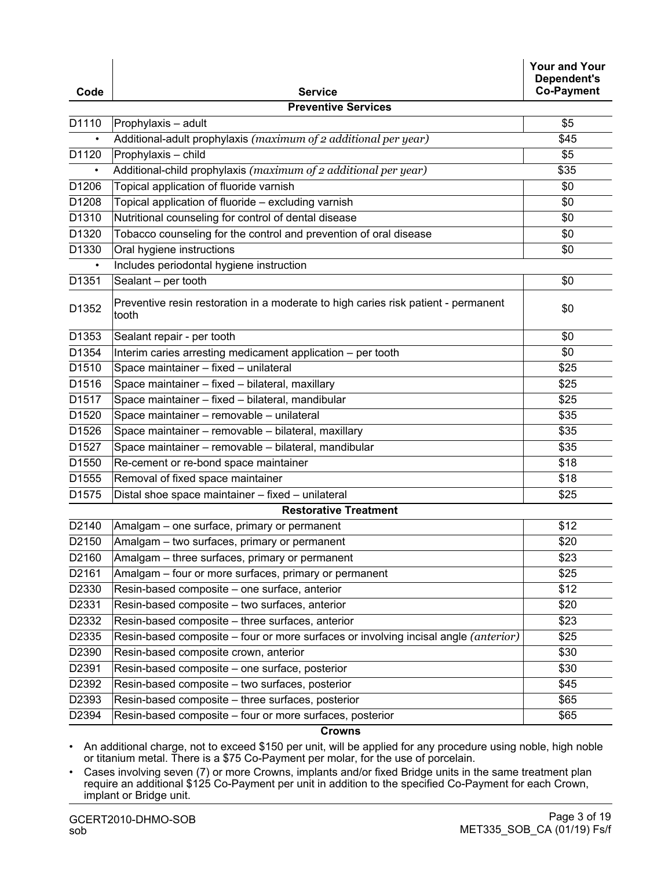| Code      | <b>Service</b>                                                                              | <b>Your and Your</b><br>Dependent's<br><b>Co-Payment</b> |
|-----------|---------------------------------------------------------------------------------------------|----------------------------------------------------------|
|           | <b>Preventive Services</b>                                                                  |                                                          |
| D1110     | Prophylaxis - adult                                                                         | \$5                                                      |
|           | Additional-adult prophylaxis (maximum of 2 additional per year)                             | \$45                                                     |
| D1120     | Prophylaxis - child                                                                         | \$5                                                      |
| $\bullet$ | Additional-child prophylaxis (maximum of 2 additional per year)                             | \$35                                                     |
| D1206     | Topical application of fluoride varnish                                                     | \$0                                                      |
| D1208     | Topical application of fluoride - excluding varnish                                         | \$0                                                      |
| D1310     | Nutritional counseling for control of dental disease                                        | \$0                                                      |
| D1320     | Tobacco counseling for the control and prevention of oral disease                           | \$0                                                      |
| D1330     | Oral hygiene instructions                                                                   | \$0                                                      |
| ٠         | Includes periodontal hygiene instruction                                                    |                                                          |
| D1351     | Sealant - per tooth                                                                         | \$0                                                      |
| D1352     | Preventive resin restoration in a moderate to high caries risk patient - permanent<br>tooth | \$0                                                      |
| D1353     | Sealant repair - per tooth                                                                  | \$0                                                      |
| D1354     | Interim caries arresting medicament application - per tooth                                 | \$0                                                      |
| D1510     | Space maintainer - fixed - unilateral                                                       | \$25                                                     |
| D1516     | Space maintainer - fixed - bilateral, maxillary                                             | \$25                                                     |
| D1517     | Space maintainer - fixed - bilateral, mandibular                                            | \$25                                                     |
| D1520     | Space maintainer - removable - unilateral                                                   | \$35                                                     |
| D1526     | Space maintainer - removable - bilateral, maxillary                                         | \$35                                                     |
| D1527     | Space maintainer - removable - bilateral, mandibular                                        | \$35                                                     |
| D1550     | Re-cement or re-bond space maintainer                                                       | \$18                                                     |
| D1555     | Removal of fixed space maintainer                                                           | \$18                                                     |
| D1575     | Distal shoe space maintainer - fixed - unilateral                                           | \$25                                                     |
|           | <b>Restorative Treatment</b>                                                                |                                                          |
| D2140     | Amalgam – one surface, primary or permanent                                                 | \$12                                                     |
| D2150     | Amalgam - two surfaces, primary or permanent                                                | \$20                                                     |
| D2160     | Amalgam – three surfaces, primary or permanent                                              | \$23                                                     |
| D2161     | Amalgam - four or more surfaces, primary or permanent                                       | \$25                                                     |
| D2330     | Resin-based composite - one surface, anterior                                               | \$12                                                     |
| D2331     | Resin-based composite - two surfaces, anterior                                              | \$20                                                     |
| D2332     | Resin-based composite - three surfaces, anterior                                            | \$23                                                     |
| D2335     | Resin-based composite – four or more surfaces or involving incisal angle (anterior)         | \$25                                                     |
| D2390     | Resin-based composite crown, anterior                                                       | \$30                                                     |
| D2391     | Resin-based composite - one surface, posterior                                              | \$30                                                     |
| D2392     | Resin-based composite - two surfaces, posterior                                             | \$45                                                     |
| D2393     | Resin-based composite - three surfaces, posterior                                           | \$65                                                     |
| D2394     | Resin-based composite - four or more surfaces, posterior                                    | \$65                                                     |

#### **Crowns**

• An additional charge, not to exceed \$150 per unit, will be applied for any procedure using noble, high noble or titanium metal. There is a \$75 Co-Payment per molar, for the use of porcelain.

• Cases involving seven (7) or more Crowns, implants and/or fixed Bridge units in the same treatment plan require an additional \$125 Co-Payment per unit in addition to the specified Co-Payment for each Crown, implant or Bridge unit.

 $\mathbf{r}$ 

 $\mathbf{r}$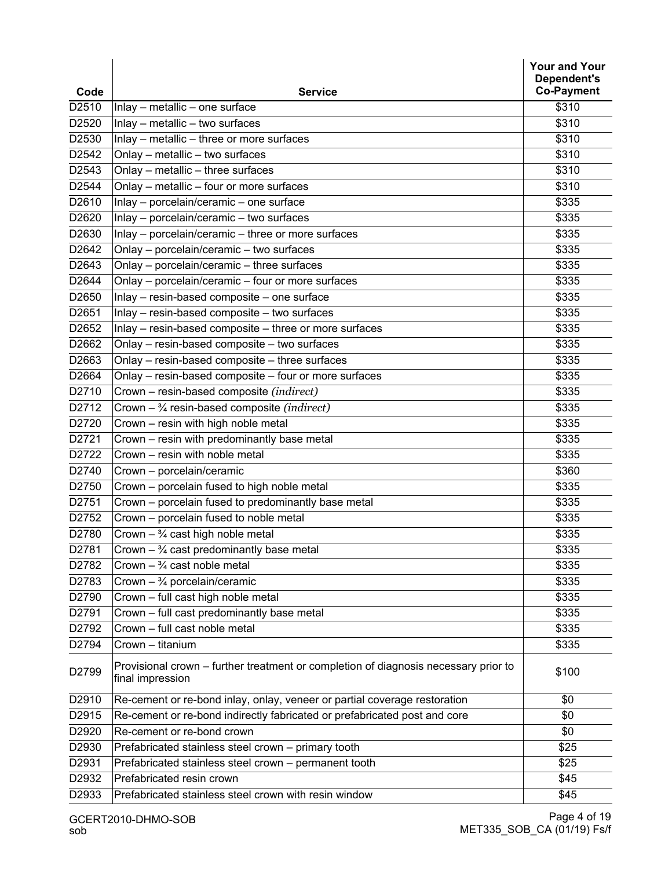| Code                                                                                                             | Dependent's<br><b>Co-Payment</b> |
|------------------------------------------------------------------------------------------------------------------|----------------------------------|
| <b>Service</b><br>D2510<br>Inlay - metallic - one surface                                                        | \$310                            |
| D2520<br>Inlay - metallic - two surfaces                                                                         | \$310                            |
| D2530<br>Inlay - metallic - three or more surfaces                                                               | \$310                            |
| D2542<br>Onlay - metallic - two surfaces                                                                         | \$310                            |
| Onlay - metallic - three surfaces<br>D2543                                                                       | \$310                            |
| D2544<br>Onlay - metallic - four or more surfaces                                                                | \$310                            |
| D2610<br>Inlay - porcelain/ceramic - one surface                                                                 | \$335                            |
| D2620<br>Inlay - porcelain/ceramic - two surfaces                                                                | \$335                            |
| D2630<br>Inlay - porcelain/ceramic - three or more surfaces                                                      | \$335                            |
| Onlay - porcelain/ceramic - two surfaces<br>D2642                                                                | \$335                            |
| D2643<br>Onlay - porcelain/ceramic - three surfaces                                                              | \$335                            |
| D2644<br>Onlay - porcelain/ceramic - four or more surfaces                                                       | \$335                            |
| D2650<br>Inlay - resin-based composite - one surface                                                             | \$335                            |
| D2651<br>Inlay - resin-based composite - two surfaces                                                            | \$335                            |
| Inlay - resin-based composite - three or more surfaces<br>D2652                                                  | \$335                            |
| D2662<br>Onlay - resin-based composite - two surfaces                                                            | \$335                            |
| D2663<br>Onlay - resin-based composite - three surfaces                                                          | \$335                            |
| Onlay - resin-based composite - four or more surfaces<br>D2664                                                   | \$335                            |
| D2710<br>Crown - resin-based composite (indirect)                                                                | \$335                            |
| D2712<br>Crown $ \frac{3}{4}$ resin-based composite (indirect)                                                   | \$335                            |
| D2720<br>Crown - resin with high noble metal                                                                     | \$335                            |
| D2721<br>Crown - resin with predominantly base metal                                                             | \$335                            |
| D2722<br>Crown - resin with noble metal                                                                          | \$335                            |
| D2740<br>Crown - porcelain/ceramic                                                                               | \$360                            |
| Crown - porcelain fused to high noble metal<br>D2750                                                             | \$335                            |
| D2751<br>Crown - porcelain fused to predominantly base metal                                                     | \$335                            |
| D2752<br>Crown - porcelain fused to noble metal                                                                  | \$335                            |
| D2780<br>Crown $ \frac{3}{4}$ cast high noble metal                                                              | \$335                            |
| D2781<br>$\overline{Crown-}$ <sup>3</sup> / <sub>4</sub> cast predominantly base metal                           | \$335                            |
| Crown $ \frac{3}{4}$ cast noble metal<br>D2782                                                                   | \$335                            |
| Crown $ \frac{3}{4}$ porcelain/ceramic<br>D2783                                                                  | \$335                            |
| D2790<br>Crown - full cast high noble metal                                                                      | \$335                            |
| D2791<br>Crown - full cast predominantly base metal                                                              | \$335                            |
| D2792<br>Crown - full cast noble metal                                                                           | \$335                            |
| D2794<br>Crown - titanium                                                                                        | \$335                            |
| Provisional crown – further treatment or completion of diagnosis necessary prior to<br>D2799<br>final impression | \$100                            |
| D2910<br>Re-cement or re-bond inlay, onlay, veneer or partial coverage restoration                               | \$0                              |
| D2915<br>Re-cement or re-bond indirectly fabricated or prefabricated post and core                               | \$0                              |
| D2920<br>Re-cement or re-bond crown                                                                              | \$0                              |
| D2930<br>Prefabricated stainless steel crown - primary tooth                                                     | \$25                             |
| D2931<br>Prefabricated stainless steel crown - permanent tooth                                                   | \$25                             |
| D2932<br>Prefabricated resin crown                                                                               | \$45                             |
| D2933<br>Prefabricated stainless steel crown with resin window                                                   | \$45                             |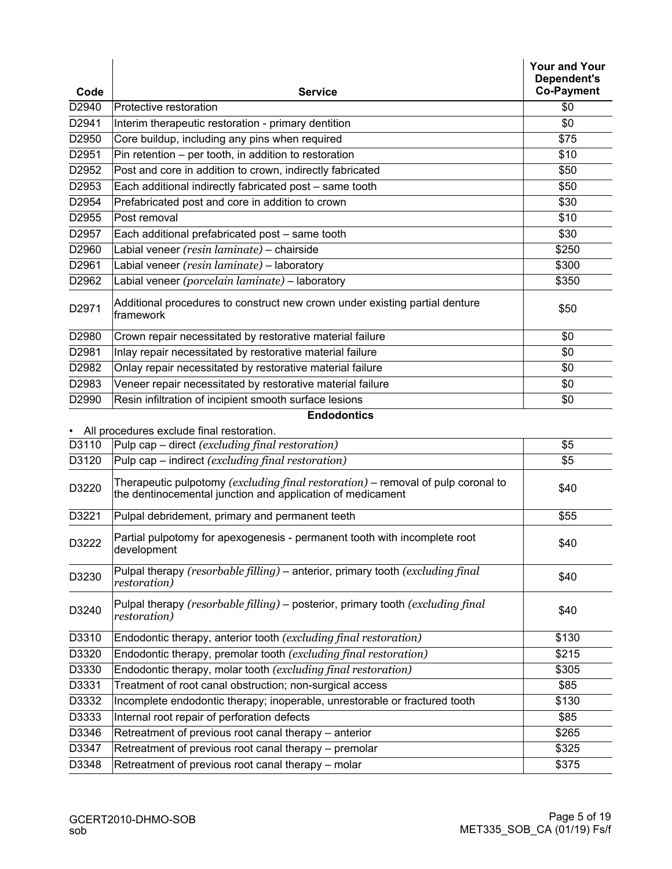|               |                                                                                                                                                | <b>Your and Your</b><br>Dependent's |
|---------------|------------------------------------------------------------------------------------------------------------------------------------------------|-------------------------------------|
| Code<br>D2940 | <b>Service</b>                                                                                                                                 | <b>Co-Payment</b><br>\$0            |
| D2941         | Protective restoration<br>Interim therapeutic restoration - primary dentition                                                                  | \$0                                 |
| D2950         | Core buildup, including any pins when required                                                                                                 | \$75                                |
| D2951         | Pin retention - per tooth, in addition to restoration                                                                                          | \$10                                |
| D2952         | Post and core in addition to crown, indirectly fabricated                                                                                      | \$50                                |
| D2953         |                                                                                                                                                | \$50                                |
| D2954         | Each additional indirectly fabricated post - same tooth                                                                                        |                                     |
| D2955         | Prefabricated post and core in addition to crown<br>Post removal                                                                               | \$30<br>\$10                        |
| D2957         |                                                                                                                                                | \$30                                |
|               | Each additional prefabricated post - same tooth                                                                                                |                                     |
| D2960         | Labial veneer (resin laminate) - chairside                                                                                                     | \$250                               |
| D2961         | Labial veneer (resin laminate) - laboratory                                                                                                    | \$300                               |
| D2962         | Labial veneer (porcelain laminate) - laboratory                                                                                                | \$350                               |
| D2971         | Additional procedures to construct new crown under existing partial denture<br>framework                                                       | \$50                                |
| D2980         | Crown repair necessitated by restorative material failure                                                                                      | \$0                                 |
| D2981         | Inlay repair necessitated by restorative material failure                                                                                      | \$0                                 |
| D2982         | Onlay repair necessitated by restorative material failure                                                                                      | \$0                                 |
| D2983         | Veneer repair necessitated by restorative material failure                                                                                     | \$0                                 |
| D2990         | Resin infiltration of incipient smooth surface lesions                                                                                         | \$0                                 |
|               | <b>Endodontics</b>                                                                                                                             |                                     |
| $\bullet$     | All procedures exclude final restoration.                                                                                                      |                                     |
| D3110         | Pulp cap $-$ direct (excluding final restoration)                                                                                              | \$5                                 |
| D3120         | Pulp cap $-$ indirect (excluding final restoration)                                                                                            | \$5                                 |
| D3220         | Therapeutic pulpotomy (excluding final restoration) – removal of pulp coronal to<br>the dentinocemental junction and application of medicament | \$40                                |
| D3221         | Pulpal debridement, primary and permanent teeth                                                                                                | \$55                                |
| D3222         | Partial pulpotomy for apexogenesis - permanent tooth with incomplete root<br>development                                                       | \$40                                |
| D3230         | Pulpal therapy (resorbable filling) - anterior, primary tooth (excluding final<br>restoration)                                                 | \$40                                |
| D3240         | Pulpal therapy (resorbable filling) - posterior, primary tooth (excluding final<br><i>restoration</i> )                                        | \$40                                |
| D3310         | Endodontic therapy, anterior tooth (excluding final restoration)                                                                               | \$130                               |
| D3320         | Endodontic therapy, premolar tooth (excluding final restoration)                                                                               | \$215                               |
| D3330         | Endodontic therapy, molar tooth (excluding final restoration)                                                                                  | \$305                               |
| D3331         | Treatment of root canal obstruction; non-surgical access                                                                                       | \$85                                |
| D3332         | Incomplete endodontic therapy; inoperable, unrestorable or fractured tooth                                                                     | \$130                               |
| D3333         | Internal root repair of perforation defects                                                                                                    | \$85                                |
| D3346         | Retreatment of previous root canal therapy – anterior                                                                                          | \$265                               |
| D3347         | Retreatment of previous root canal therapy - premolar                                                                                          | \$325                               |
| D3348         | Retreatment of previous root canal therapy - molar                                                                                             | \$375                               |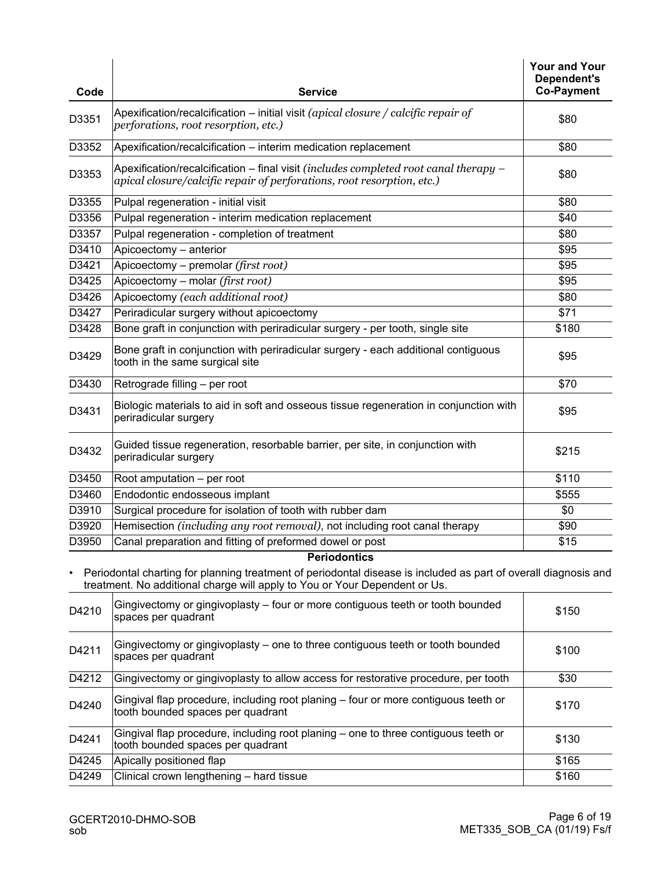| Code  | <b>Service</b>                                                                                                                                                                                                       | <b>Your and Your</b><br>Dependent's<br><b>Co-Payment</b> |
|-------|----------------------------------------------------------------------------------------------------------------------------------------------------------------------------------------------------------------------|----------------------------------------------------------|
| D3351 | Apexification/recalcification – initial visit (apical closure / calcific repair of<br>perforations, root resorption, etc.)                                                                                           | \$80                                                     |
| D3352 | Apexification/recalcification - interim medication replacement                                                                                                                                                       | \$80                                                     |
| D3353 | Apexification/recalcification – final visit (includes completed root canal therapy –<br>apical closure/calcific repair of perforations, root resorption, etc.)                                                       | \$80                                                     |
| D3355 | Pulpal regeneration - initial visit                                                                                                                                                                                  | \$80                                                     |
| D3356 | Pulpal regeneration - interim medication replacement                                                                                                                                                                 | \$40                                                     |
| D3357 | Pulpal regeneration - completion of treatment                                                                                                                                                                        | \$80                                                     |
| D3410 | Apicoectomy - anterior                                                                                                                                                                                               | \$95                                                     |
| D3421 | Apicoectomy – premolar (first root)                                                                                                                                                                                  | \$95                                                     |
| D3425 | Apicoectomy - molar (first root)                                                                                                                                                                                     | \$95                                                     |
| D3426 | Apicoectomy (each additional root)                                                                                                                                                                                   | \$80                                                     |
| D3427 | Periradicular surgery without apicoectomy                                                                                                                                                                            | \$71                                                     |
| D3428 | Bone graft in conjunction with periradicular surgery - per tooth, single site                                                                                                                                        | \$180                                                    |
| D3429 | Bone graft in conjunction with periradicular surgery - each additional contiguous<br>tooth in the same surgical site                                                                                                 | \$95                                                     |
| D3430 | Retrograde filling - per root                                                                                                                                                                                        | \$70                                                     |
| D3431 | Biologic materials to aid in soft and osseous tissue regeneration in conjunction with<br>periradicular surgery                                                                                                       | \$95                                                     |
| D3432 | Guided tissue regeneration, resorbable barrier, per site, in conjunction with<br>periradicular surgery                                                                                                               | \$215                                                    |
| D3450 | Root amputation - per root                                                                                                                                                                                           | \$110                                                    |
| D3460 | Endodontic endosseous implant                                                                                                                                                                                        | \$555                                                    |
| D3910 | Surgical procedure for isolation of tooth with rubber dam                                                                                                                                                            | \$0                                                      |
| D3920 | Hemisection (including any root removal), not including root canal therapy                                                                                                                                           | \$90                                                     |
| D3950 | Canal preparation and fitting of preformed dowel or post                                                                                                                                                             | \$15                                                     |
|       | <b>Periodontics</b><br>Periodontal charting for planning treatment of periodontal disease is included as part of overall diagnosis and<br>treatment. No additional charge will apply to You or Your Dependent or Us. |                                                          |
| D4210 | Gingivectomy or gingivoplasty – four or more contiguous teeth or tooth bounded<br>spaces per quadrant                                                                                                                | \$150                                                    |
| D4211 | Gingivectomy or gingivoplasty – one to three contiguous teeth or tooth bounded<br>spaces per quadrant                                                                                                                | \$100                                                    |
| D4212 | Gingivectomy or gingivoplasty to allow access for restorative procedure, per tooth                                                                                                                                   | \$30                                                     |
| D4240 | Gingival flap procedure, including root planing - four or more contiguous teeth or<br>tooth bounded spaces per quadrant                                                                                              | \$170                                                    |
| D4241 | Gingival flap procedure, including root planing - one to three contiguous teeth or<br>tooth bounded spaces per quadrant                                                                                              | \$130                                                    |
| D4245 | Apically positioned flap                                                                                                                                                                                             | \$165                                                    |
| D4249 | Clinical crown lengthening - hard tissue                                                                                                                                                                             | \$160                                                    |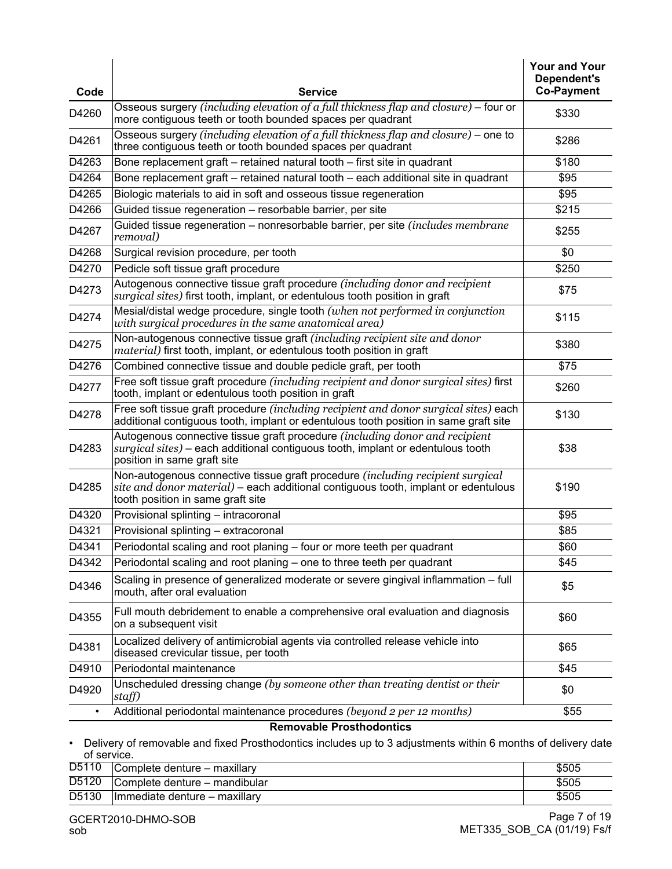| Code                            | <b>Service</b>                                                                                                                                                                                            | <b>Your and Your</b><br>Dependent's<br><b>Co-Payment</b> |
|---------------------------------|-----------------------------------------------------------------------------------------------------------------------------------------------------------------------------------------------------------|----------------------------------------------------------|
| D4260                           | Osseous surgery (including elevation of a full thickness flap and closure) – four or<br>more contiguous teeth or tooth bounded spaces per quadrant                                                        | \$330                                                    |
| D4261                           | Osseous surgery (including elevation of a full thickness flap and closure) – one to<br>three contiguous teeth or tooth bounded spaces per quadrant                                                        | \$286                                                    |
| D4263                           | Bone replacement graft - retained natural tooth - first site in quadrant                                                                                                                                  | \$180                                                    |
| D4264                           | Bone replacement graft - retained natural tooth - each additional site in quadrant                                                                                                                        | \$95                                                     |
| D4265                           | Biologic materials to aid in soft and osseous tissue regeneration                                                                                                                                         | \$95                                                     |
| D4266                           | Guided tissue regeneration - resorbable barrier, per site                                                                                                                                                 | \$215                                                    |
| D4267                           | Guided tissue regeneration – nonresorbable barrier, per site (includes membrane<br>removal)                                                                                                               | \$255                                                    |
| D4268                           | Surgical revision procedure, per tooth                                                                                                                                                                    | \$0                                                      |
| D4270                           | Pedicle soft tissue graft procedure                                                                                                                                                                       | \$250                                                    |
| D4273                           | Autogenous connective tissue graft procedure (including donor and recipient<br>surgical sites) first tooth, implant, or edentulous tooth position in graft                                                | \$75                                                     |
| D4274                           | Mesial/distal wedge procedure, single tooth (when not performed in conjunction<br>with surgical procedures in the same anatomical area)                                                                   | \$115                                                    |
| D4275                           | Non-autogenous connective tissue graft (including recipient site and donor<br><i>material</i> ) first tooth, implant, or edentulous tooth position in graft                                               | \$380                                                    |
| D4276                           | Combined connective tissue and double pedicle graft, per tooth                                                                                                                                            | \$75                                                     |
| D4277                           | Free soft tissue graft procedure (including recipient and donor surgical sites) first<br>tooth, implant or edentulous tooth position in graft                                                             | \$260                                                    |
| D4278                           | Free soft tissue graft procedure (including recipient and donor surgical sites) each<br>additional contiguous tooth, implant or edentulous tooth position in same graft site                              | \$130                                                    |
| D4283                           | Autogenous connective tissue graft procedure (including donor and recipient<br>surgical sites) - each additional contiguous tooth, implant or edentulous tooth<br>position in same graft site             | \$38                                                     |
| D4285                           | Non-autogenous connective tissue graft procedure (including recipient surgical<br>site and donor material) – each additional contiguous tooth, implant or edentulous<br>tooth position in same graft site | \$190                                                    |
| D4320                           | Provisional splinting - intracoronal                                                                                                                                                                      | \$95                                                     |
| D4321                           | Provisional splinting - extracoronal                                                                                                                                                                      | \$85                                                     |
| D4341                           | Periodontal scaling and root planing – four or more teeth per quadrant                                                                                                                                    | \$60                                                     |
| D4342                           | Periodontal scaling and root planing – one to three teeth per quadrant                                                                                                                                    | \$45                                                     |
| D4346                           | Scaling in presence of generalized moderate or severe gingival inflammation - full<br>mouth, after oral evaluation                                                                                        | \$5                                                      |
| D4355                           | Full mouth debridement to enable a comprehensive oral evaluation and diagnosis<br>on a subsequent visit                                                                                                   | \$60                                                     |
| D4381                           | Localized delivery of antimicrobial agents via controlled release vehicle into<br>diseased crevicular tissue, per tooth                                                                                   | \$65                                                     |
| D4910                           | Periodontal maintenance                                                                                                                                                                                   | \$45                                                     |
| D4920                           | Unscheduled dressing change (by someone other than treating dentist or their<br>staff)                                                                                                                    | \$0                                                      |
| ٠                               | Additional periodontal maintenance procedures (beyond 2 per 12 months)                                                                                                                                    | \$55                                                     |
| <b>Removable Prosthodontics</b> |                                                                                                                                                                                                           |                                                          |

• Delivery of removable and fixed Prosthodontics includes up to 3 adjustments within 6 months of delivery date of service.

| D5110             | Complete denture - maxillary   | \$505 |
|-------------------|--------------------------------|-------|
| D <sub>5120</sub> | Complete denture – mandibular  | \$505 |
| D <sub>5130</sub> | Ilmmediate denture - maxillary | \$505 |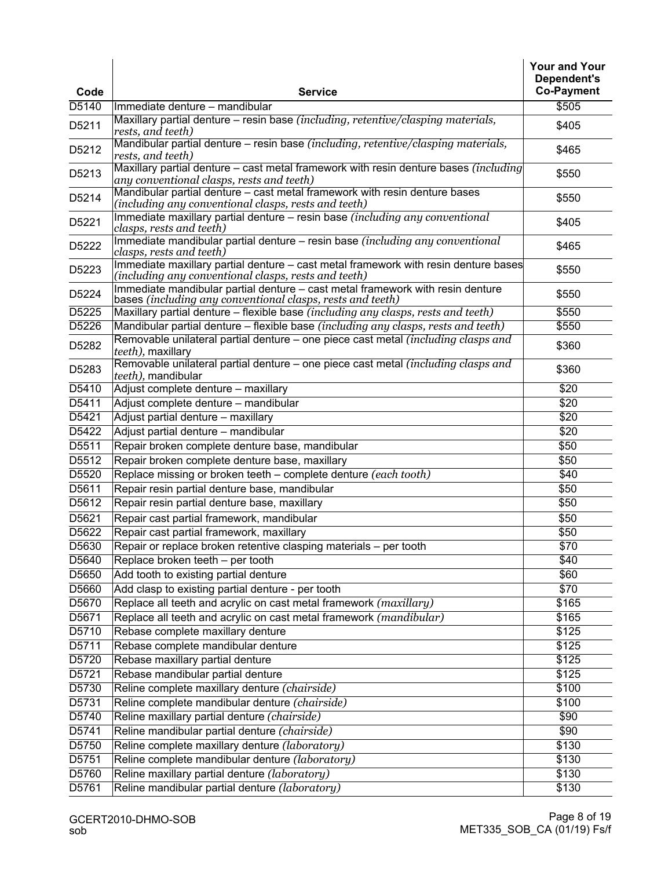| Code              | <b>Service</b>                                                                                                                               | <b>Your and Your</b><br>Dependent's<br><b>Co-Payment</b> |
|-------------------|----------------------------------------------------------------------------------------------------------------------------------------------|----------------------------------------------------------|
| D5140             | Immediate denture - mandibular                                                                                                               | \$505                                                    |
| D5211             | Maxillary partial denture – resin base (including, retentive/clasping materials,<br>rests, and teeth)                                        | \$405                                                    |
| D5212             | Mandibular partial denture – resin base (including, retentive/clasping materials,<br>rests, and teeth)                                       | \$465                                                    |
| D5213             | Maxillary partial denture – cast metal framework with resin denture bases <i>(including</i> )<br>any conventional clasps, rests and teeth)   | \$550                                                    |
| D5214             | Mandibular partial denture – cast metal framework with resin denture bases<br>(including any conventional clasps, rests and teeth)           | \$550                                                    |
| D5221             | Immediate maxillary partial denture - resin base (including any conventional<br>clasps, rests and teeth)                                     | \$405                                                    |
| D5222             | Immediate mandibular partial denture – resin base (including any conventional<br>clasps, rests and teeth)                                    | \$465                                                    |
| D5223             | Immediate maxillary partial denture - cast metal framework with resin denture bases<br>(including any conventional clasps, rests and teeth)  | \$550                                                    |
| D5224             | Immediate mandibular partial denture - cast metal framework with resin denture<br>bases (including any conventional clasps, rests and teeth) | \$550                                                    |
| D5225             | Maxillary partial denture - flexible base (including any clasps, rests and teeth)                                                            | \$550                                                    |
| D <sub>5226</sub> | Mandibular partial denture – flexible base (including any clasps, rests and teeth)                                                           | \$550                                                    |
| D5282             | Removable unilateral partial denture – one piece cast metal <i>(including clasps and</i><br>teeth), maxillary                                | \$360                                                    |
| D5283             | Removable unilateral partial denture – one piece cast metal <i>(including clasps and</i> )<br>teeth), mandibular                             | \$360                                                    |
| D5410             | Adjust complete denture - maxillary                                                                                                          | \$20                                                     |
| D5411             | Adjust complete denture - mandibular                                                                                                         | $\sqrt{$20}$                                             |
| D5421             | Adjust partial denture - maxillary                                                                                                           | \$20                                                     |
| D <sub>5422</sub> | Adjust partial denture - mandibular                                                                                                          | \$20                                                     |
| D5511             | Repair broken complete denture base, mandibular                                                                                              | \$50                                                     |
| D5512             | Repair broken complete denture base, maxillary                                                                                               | \$50                                                     |
| D5520             | Replace missing or broken teeth - complete denture (each tooth)                                                                              | \$40                                                     |
| D5611             | Repair resin partial denture base, mandibular                                                                                                | \$50                                                     |
| D5612             | Repair resin partial denture base, maxillary                                                                                                 | \$50                                                     |
| D5621             | Repair cast partial framework, mandibular                                                                                                    | \$50                                                     |
| D5622             | Repair cast partial framework, maxillary                                                                                                     | \$50                                                     |
| D5630             | Repair or replace broken retentive clasping materials - per tooth                                                                            | $\overline{$70}$                                         |
| D5640             | Replace broken teeth - per tooth                                                                                                             | \$40                                                     |
| D5650             | Add tooth to existing partial denture                                                                                                        | \$60                                                     |
| D5660             | Add clasp to existing partial denture - per tooth                                                                                            | \$70                                                     |
| D5670             | Replace all teeth and acrylic on cast metal framework (maxillary)                                                                            | \$165                                                    |
| D5671             | Replace all teeth and acrylic on cast metal framework (mandibular)                                                                           | \$165                                                    |
| D5710             | Rebase complete maxillary denture                                                                                                            | \$125                                                    |
| D5711             | Rebase complete mandibular denture                                                                                                           | \$125                                                    |
| D5720             | Rebase maxillary partial denture                                                                                                             | \$125                                                    |
| D5721             | Rebase mandibular partial denture                                                                                                            | \$125                                                    |
| D5730             | Reline complete maxillary denture (chairside)                                                                                                | \$100                                                    |
| D5731             | Reline complete mandibular denture (chairside)                                                                                               | \$100                                                    |
| D5740             | Reline maxillary partial denture (chairside)                                                                                                 | \$90                                                     |
| D5741             | Reline mandibular partial denture (chairside)                                                                                                | \$90                                                     |
| D5750             | Reline complete maxillary denture (laboratory)                                                                                               | \$130                                                    |
| D5751             | Reline complete mandibular denture (laboratory)                                                                                              | \$130                                                    |
| D5760             | Reline maxillary partial denture (laboratory)                                                                                                | \$130                                                    |
| D5761             | Reline mandibular partial denture (laboratory)                                                                                               | \$130                                                    |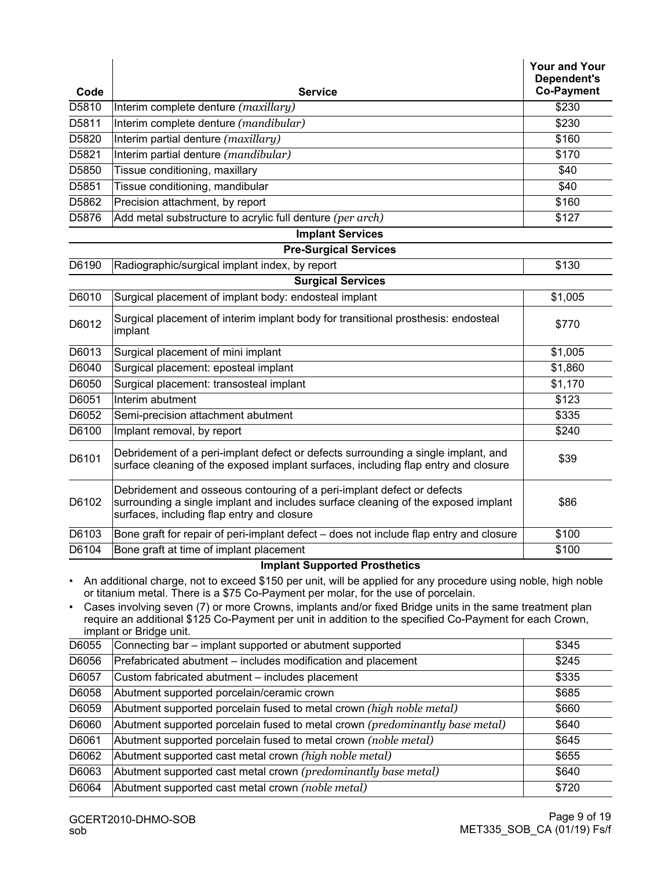| D5810<br>Interim complete denture (maxillary)<br>\$230<br>D5811<br>Interim complete denture (mandibular)<br>\$230<br>D5820<br>Interim partial denture (maxillary)<br>\$160<br>Interim partial denture (mandibular)<br>D5821<br>\$170<br>D5850<br>Tissue conditioning, maxillary<br>\$40<br>D5851<br>Tissue conditioning, mandibular<br>\$40<br>D5862<br>Precision attachment, by report<br>\$160<br>D5876<br>Add metal substructure to acrylic full denture (per arch)<br>\$127<br><b>Implant Services</b><br><b>Pre-Surgical Services</b><br>D6190<br>Radiographic/surgical implant index, by report<br>\$130<br><b>Surgical Services</b><br>D6010<br>Surgical placement of implant body: endosteal implant<br>\$1,005<br>Surgical placement of interim implant body for transitional prosthesis: endosteal<br>D6012<br>\$770<br>implant<br>D6013<br>Surgical placement of mini implant<br>\$1,005<br>Surgical placement: eposteal implant<br>\$1,860<br>D6040<br>D6050<br>Surgical placement: transosteal implant<br>\$1,170<br>D6051<br>Interim abutment<br>\$123<br>D6052<br>\$335<br>Semi-precision attachment abutment<br>D6100<br>Implant removal, by report<br>\$240<br>Debridement of a peri-implant defect or defects surrounding a single implant, and<br>D6101<br>\$39<br>surface cleaning of the exposed implant surfaces, including flap entry and closure<br>Debridement and osseous contouring of a peri-implant defect or defects<br>D6102<br>surrounding a single implant and includes surface cleaning of the exposed implant<br>\$86<br>surfaces, including flap entry and closure<br>D6103<br>Bone graft for repair of peri-implant defect – does not include flap entry and closure<br>\$100<br>D6104<br>Bone graft at time of implant placement<br>\$100<br><b>Implant Supported Prosthetics</b><br>An additional charge, not to exceed \$150 per unit, will be applied for any procedure using noble, high noble<br>or titanium metal. There is a \$75 Co-Payment per molar, for the use of porcelain.<br>Cases involving seven (7) or more Crowns, implants and/or fixed Bridge units in the same treatment plan<br>٠<br>require an additional \$125 Co-Payment per unit in addition to the specified Co-Payment for each Crown,<br>implant or Bridge unit.<br>Connecting bar - implant supported or abutment supported<br>D6055<br>\$345<br>D6056<br>Prefabricated abutment - includes modification and placement<br>\$245<br>D6057<br>Custom fabricated abutment - includes placement<br>\$335<br>D6058<br>Abutment supported porcelain/ceramic crown<br>\$685<br>D6059<br>Abutment supported porcelain fused to metal crown (high noble metal)<br>\$660<br>D6060<br>Abutment supported porcelain fused to metal crown (predominantly base metal)<br>\$640<br>D6061<br>Abutment supported porcelain fused to metal crown (noble metal)<br>\$645<br>D6062<br>Abutment supported cast metal crown (high noble metal)<br>\$655<br>Abutment supported cast metal crown (predominantly base metal)<br>D6063<br>\$640<br>D6064<br>Abutment supported cast metal crown (noble metal)<br>\$720 |      |                | <b>Your and Your</b><br>Dependent's<br><b>Co-Payment</b> |
|-------------------------------------------------------------------------------------------------------------------------------------------------------------------------------------------------------------------------------------------------------------------------------------------------------------------------------------------------------------------------------------------------------------------------------------------------------------------------------------------------------------------------------------------------------------------------------------------------------------------------------------------------------------------------------------------------------------------------------------------------------------------------------------------------------------------------------------------------------------------------------------------------------------------------------------------------------------------------------------------------------------------------------------------------------------------------------------------------------------------------------------------------------------------------------------------------------------------------------------------------------------------------------------------------------------------------------------------------------------------------------------------------------------------------------------------------------------------------------------------------------------------------------------------------------------------------------------------------------------------------------------------------------------------------------------------------------------------------------------------------------------------------------------------------------------------------------------------------------------------------------------------------------------------------------------------------------------------------------------------------------------------------------------------------------------------------------------------------------------------------------------------------------------------------------------------------------------------------------------------------------------------------------------------------------------------------------------------------------------------------------------------------------------------------------------------------------------------------------------------------------------------------------------------------------------------------------------------------------------------------------------------------------------------------------------------------------------------------------------------------------------------------------------------------------------------------------------------------------------------------------------------------------------------------------------------------------------------------------------------------------------------------------------------------------------------------------------------------------------------|------|----------------|----------------------------------------------------------|
|                                                                                                                                                                                                                                                                                                                                                                                                                                                                                                                                                                                                                                                                                                                                                                                                                                                                                                                                                                                                                                                                                                                                                                                                                                                                                                                                                                                                                                                                                                                                                                                                                                                                                                                                                                                                                                                                                                                                                                                                                                                                                                                                                                                                                                                                                                                                                                                                                                                                                                                                                                                                                                                                                                                                                                                                                                                                                                                                                                                                                                                                                                                   | Code | <b>Service</b> |                                                          |
|                                                                                                                                                                                                                                                                                                                                                                                                                                                                                                                                                                                                                                                                                                                                                                                                                                                                                                                                                                                                                                                                                                                                                                                                                                                                                                                                                                                                                                                                                                                                                                                                                                                                                                                                                                                                                                                                                                                                                                                                                                                                                                                                                                                                                                                                                                                                                                                                                                                                                                                                                                                                                                                                                                                                                                                                                                                                                                                                                                                                                                                                                                                   |      |                |                                                          |
|                                                                                                                                                                                                                                                                                                                                                                                                                                                                                                                                                                                                                                                                                                                                                                                                                                                                                                                                                                                                                                                                                                                                                                                                                                                                                                                                                                                                                                                                                                                                                                                                                                                                                                                                                                                                                                                                                                                                                                                                                                                                                                                                                                                                                                                                                                                                                                                                                                                                                                                                                                                                                                                                                                                                                                                                                                                                                                                                                                                                                                                                                                                   |      |                |                                                          |
|                                                                                                                                                                                                                                                                                                                                                                                                                                                                                                                                                                                                                                                                                                                                                                                                                                                                                                                                                                                                                                                                                                                                                                                                                                                                                                                                                                                                                                                                                                                                                                                                                                                                                                                                                                                                                                                                                                                                                                                                                                                                                                                                                                                                                                                                                                                                                                                                                                                                                                                                                                                                                                                                                                                                                                                                                                                                                                                                                                                                                                                                                                                   |      |                |                                                          |
|                                                                                                                                                                                                                                                                                                                                                                                                                                                                                                                                                                                                                                                                                                                                                                                                                                                                                                                                                                                                                                                                                                                                                                                                                                                                                                                                                                                                                                                                                                                                                                                                                                                                                                                                                                                                                                                                                                                                                                                                                                                                                                                                                                                                                                                                                                                                                                                                                                                                                                                                                                                                                                                                                                                                                                                                                                                                                                                                                                                                                                                                                                                   |      |                |                                                          |
|                                                                                                                                                                                                                                                                                                                                                                                                                                                                                                                                                                                                                                                                                                                                                                                                                                                                                                                                                                                                                                                                                                                                                                                                                                                                                                                                                                                                                                                                                                                                                                                                                                                                                                                                                                                                                                                                                                                                                                                                                                                                                                                                                                                                                                                                                                                                                                                                                                                                                                                                                                                                                                                                                                                                                                                                                                                                                                                                                                                                                                                                                                                   |      |                |                                                          |
|                                                                                                                                                                                                                                                                                                                                                                                                                                                                                                                                                                                                                                                                                                                                                                                                                                                                                                                                                                                                                                                                                                                                                                                                                                                                                                                                                                                                                                                                                                                                                                                                                                                                                                                                                                                                                                                                                                                                                                                                                                                                                                                                                                                                                                                                                                                                                                                                                                                                                                                                                                                                                                                                                                                                                                                                                                                                                                                                                                                                                                                                                                                   |      |                |                                                          |
|                                                                                                                                                                                                                                                                                                                                                                                                                                                                                                                                                                                                                                                                                                                                                                                                                                                                                                                                                                                                                                                                                                                                                                                                                                                                                                                                                                                                                                                                                                                                                                                                                                                                                                                                                                                                                                                                                                                                                                                                                                                                                                                                                                                                                                                                                                                                                                                                                                                                                                                                                                                                                                                                                                                                                                                                                                                                                                                                                                                                                                                                                                                   |      |                |                                                          |
|                                                                                                                                                                                                                                                                                                                                                                                                                                                                                                                                                                                                                                                                                                                                                                                                                                                                                                                                                                                                                                                                                                                                                                                                                                                                                                                                                                                                                                                                                                                                                                                                                                                                                                                                                                                                                                                                                                                                                                                                                                                                                                                                                                                                                                                                                                                                                                                                                                                                                                                                                                                                                                                                                                                                                                                                                                                                                                                                                                                                                                                                                                                   |      |                |                                                          |
|                                                                                                                                                                                                                                                                                                                                                                                                                                                                                                                                                                                                                                                                                                                                                                                                                                                                                                                                                                                                                                                                                                                                                                                                                                                                                                                                                                                                                                                                                                                                                                                                                                                                                                                                                                                                                                                                                                                                                                                                                                                                                                                                                                                                                                                                                                                                                                                                                                                                                                                                                                                                                                                                                                                                                                                                                                                                                                                                                                                                                                                                                                                   |      |                |                                                          |
|                                                                                                                                                                                                                                                                                                                                                                                                                                                                                                                                                                                                                                                                                                                                                                                                                                                                                                                                                                                                                                                                                                                                                                                                                                                                                                                                                                                                                                                                                                                                                                                                                                                                                                                                                                                                                                                                                                                                                                                                                                                                                                                                                                                                                                                                                                                                                                                                                                                                                                                                                                                                                                                                                                                                                                                                                                                                                                                                                                                                                                                                                                                   |      |                |                                                          |
|                                                                                                                                                                                                                                                                                                                                                                                                                                                                                                                                                                                                                                                                                                                                                                                                                                                                                                                                                                                                                                                                                                                                                                                                                                                                                                                                                                                                                                                                                                                                                                                                                                                                                                                                                                                                                                                                                                                                                                                                                                                                                                                                                                                                                                                                                                                                                                                                                                                                                                                                                                                                                                                                                                                                                                                                                                                                                                                                                                                                                                                                                                                   |      |                |                                                          |
|                                                                                                                                                                                                                                                                                                                                                                                                                                                                                                                                                                                                                                                                                                                                                                                                                                                                                                                                                                                                                                                                                                                                                                                                                                                                                                                                                                                                                                                                                                                                                                                                                                                                                                                                                                                                                                                                                                                                                                                                                                                                                                                                                                                                                                                                                                                                                                                                                                                                                                                                                                                                                                                                                                                                                                                                                                                                                                                                                                                                                                                                                                                   |      |                |                                                          |
|                                                                                                                                                                                                                                                                                                                                                                                                                                                                                                                                                                                                                                                                                                                                                                                                                                                                                                                                                                                                                                                                                                                                                                                                                                                                                                                                                                                                                                                                                                                                                                                                                                                                                                                                                                                                                                                                                                                                                                                                                                                                                                                                                                                                                                                                                                                                                                                                                                                                                                                                                                                                                                                                                                                                                                                                                                                                                                                                                                                                                                                                                                                   |      |                |                                                          |
|                                                                                                                                                                                                                                                                                                                                                                                                                                                                                                                                                                                                                                                                                                                                                                                                                                                                                                                                                                                                                                                                                                                                                                                                                                                                                                                                                                                                                                                                                                                                                                                                                                                                                                                                                                                                                                                                                                                                                                                                                                                                                                                                                                                                                                                                                                                                                                                                                                                                                                                                                                                                                                                                                                                                                                                                                                                                                                                                                                                                                                                                                                                   |      |                |                                                          |
|                                                                                                                                                                                                                                                                                                                                                                                                                                                                                                                                                                                                                                                                                                                                                                                                                                                                                                                                                                                                                                                                                                                                                                                                                                                                                                                                                                                                                                                                                                                                                                                                                                                                                                                                                                                                                                                                                                                                                                                                                                                                                                                                                                                                                                                                                                                                                                                                                                                                                                                                                                                                                                                                                                                                                                                                                                                                                                                                                                                                                                                                                                                   |      |                |                                                          |
|                                                                                                                                                                                                                                                                                                                                                                                                                                                                                                                                                                                                                                                                                                                                                                                                                                                                                                                                                                                                                                                                                                                                                                                                                                                                                                                                                                                                                                                                                                                                                                                                                                                                                                                                                                                                                                                                                                                                                                                                                                                                                                                                                                                                                                                                                                                                                                                                                                                                                                                                                                                                                                                                                                                                                                                                                                                                                                                                                                                                                                                                                                                   |      |                |                                                          |
|                                                                                                                                                                                                                                                                                                                                                                                                                                                                                                                                                                                                                                                                                                                                                                                                                                                                                                                                                                                                                                                                                                                                                                                                                                                                                                                                                                                                                                                                                                                                                                                                                                                                                                                                                                                                                                                                                                                                                                                                                                                                                                                                                                                                                                                                                                                                                                                                                                                                                                                                                                                                                                                                                                                                                                                                                                                                                                                                                                                                                                                                                                                   |      |                |                                                          |
|                                                                                                                                                                                                                                                                                                                                                                                                                                                                                                                                                                                                                                                                                                                                                                                                                                                                                                                                                                                                                                                                                                                                                                                                                                                                                                                                                                                                                                                                                                                                                                                                                                                                                                                                                                                                                                                                                                                                                                                                                                                                                                                                                                                                                                                                                                                                                                                                                                                                                                                                                                                                                                                                                                                                                                                                                                                                                                                                                                                                                                                                                                                   |      |                |                                                          |
|                                                                                                                                                                                                                                                                                                                                                                                                                                                                                                                                                                                                                                                                                                                                                                                                                                                                                                                                                                                                                                                                                                                                                                                                                                                                                                                                                                                                                                                                                                                                                                                                                                                                                                                                                                                                                                                                                                                                                                                                                                                                                                                                                                                                                                                                                                                                                                                                                                                                                                                                                                                                                                                                                                                                                                                                                                                                                                                                                                                                                                                                                                                   |      |                |                                                          |
|                                                                                                                                                                                                                                                                                                                                                                                                                                                                                                                                                                                                                                                                                                                                                                                                                                                                                                                                                                                                                                                                                                                                                                                                                                                                                                                                                                                                                                                                                                                                                                                                                                                                                                                                                                                                                                                                                                                                                                                                                                                                                                                                                                                                                                                                                                                                                                                                                                                                                                                                                                                                                                                                                                                                                                                                                                                                                                                                                                                                                                                                                                                   |      |                |                                                          |
|                                                                                                                                                                                                                                                                                                                                                                                                                                                                                                                                                                                                                                                                                                                                                                                                                                                                                                                                                                                                                                                                                                                                                                                                                                                                                                                                                                                                                                                                                                                                                                                                                                                                                                                                                                                                                                                                                                                                                                                                                                                                                                                                                                                                                                                                                                                                                                                                                                                                                                                                                                                                                                                                                                                                                                                                                                                                                                                                                                                                                                                                                                                   |      |                |                                                          |
|                                                                                                                                                                                                                                                                                                                                                                                                                                                                                                                                                                                                                                                                                                                                                                                                                                                                                                                                                                                                                                                                                                                                                                                                                                                                                                                                                                                                                                                                                                                                                                                                                                                                                                                                                                                                                                                                                                                                                                                                                                                                                                                                                                                                                                                                                                                                                                                                                                                                                                                                                                                                                                                                                                                                                                                                                                                                                                                                                                                                                                                                                                                   |      |                |                                                          |
|                                                                                                                                                                                                                                                                                                                                                                                                                                                                                                                                                                                                                                                                                                                                                                                                                                                                                                                                                                                                                                                                                                                                                                                                                                                                                                                                                                                                                                                                                                                                                                                                                                                                                                                                                                                                                                                                                                                                                                                                                                                                                                                                                                                                                                                                                                                                                                                                                                                                                                                                                                                                                                                                                                                                                                                                                                                                                                                                                                                                                                                                                                                   |      |                |                                                          |
|                                                                                                                                                                                                                                                                                                                                                                                                                                                                                                                                                                                                                                                                                                                                                                                                                                                                                                                                                                                                                                                                                                                                                                                                                                                                                                                                                                                                                                                                                                                                                                                                                                                                                                                                                                                                                                                                                                                                                                                                                                                                                                                                                                                                                                                                                                                                                                                                                                                                                                                                                                                                                                                                                                                                                                                                                                                                                                                                                                                                                                                                                                                   |      |                |                                                          |
|                                                                                                                                                                                                                                                                                                                                                                                                                                                                                                                                                                                                                                                                                                                                                                                                                                                                                                                                                                                                                                                                                                                                                                                                                                                                                                                                                                                                                                                                                                                                                                                                                                                                                                                                                                                                                                                                                                                                                                                                                                                                                                                                                                                                                                                                                                                                                                                                                                                                                                                                                                                                                                                                                                                                                                                                                                                                                                                                                                                                                                                                                                                   |      |                |                                                          |
|                                                                                                                                                                                                                                                                                                                                                                                                                                                                                                                                                                                                                                                                                                                                                                                                                                                                                                                                                                                                                                                                                                                                                                                                                                                                                                                                                                                                                                                                                                                                                                                                                                                                                                                                                                                                                                                                                                                                                                                                                                                                                                                                                                                                                                                                                                                                                                                                                                                                                                                                                                                                                                                                                                                                                                                                                                                                                                                                                                                                                                                                                                                   |      |                |                                                          |
|                                                                                                                                                                                                                                                                                                                                                                                                                                                                                                                                                                                                                                                                                                                                                                                                                                                                                                                                                                                                                                                                                                                                                                                                                                                                                                                                                                                                                                                                                                                                                                                                                                                                                                                                                                                                                                                                                                                                                                                                                                                                                                                                                                                                                                                                                                                                                                                                                                                                                                                                                                                                                                                                                                                                                                                                                                                                                                                                                                                                                                                                                                                   |      |                |                                                          |
|                                                                                                                                                                                                                                                                                                                                                                                                                                                                                                                                                                                                                                                                                                                                                                                                                                                                                                                                                                                                                                                                                                                                                                                                                                                                                                                                                                                                                                                                                                                                                                                                                                                                                                                                                                                                                                                                                                                                                                                                                                                                                                                                                                                                                                                                                                                                                                                                                                                                                                                                                                                                                                                                                                                                                                                                                                                                                                                                                                                                                                                                                                                   |      |                |                                                          |
|                                                                                                                                                                                                                                                                                                                                                                                                                                                                                                                                                                                                                                                                                                                                                                                                                                                                                                                                                                                                                                                                                                                                                                                                                                                                                                                                                                                                                                                                                                                                                                                                                                                                                                                                                                                                                                                                                                                                                                                                                                                                                                                                                                                                                                                                                                                                                                                                                                                                                                                                                                                                                                                                                                                                                                                                                                                                                                                                                                                                                                                                                                                   |      |                |                                                          |
|                                                                                                                                                                                                                                                                                                                                                                                                                                                                                                                                                                                                                                                                                                                                                                                                                                                                                                                                                                                                                                                                                                                                                                                                                                                                                                                                                                                                                                                                                                                                                                                                                                                                                                                                                                                                                                                                                                                                                                                                                                                                                                                                                                                                                                                                                                                                                                                                                                                                                                                                                                                                                                                                                                                                                                                                                                                                                                                                                                                                                                                                                                                   |      |                |                                                          |
|                                                                                                                                                                                                                                                                                                                                                                                                                                                                                                                                                                                                                                                                                                                                                                                                                                                                                                                                                                                                                                                                                                                                                                                                                                                                                                                                                                                                                                                                                                                                                                                                                                                                                                                                                                                                                                                                                                                                                                                                                                                                                                                                                                                                                                                                                                                                                                                                                                                                                                                                                                                                                                                                                                                                                                                                                                                                                                                                                                                                                                                                                                                   |      |                |                                                          |
|                                                                                                                                                                                                                                                                                                                                                                                                                                                                                                                                                                                                                                                                                                                                                                                                                                                                                                                                                                                                                                                                                                                                                                                                                                                                                                                                                                                                                                                                                                                                                                                                                                                                                                                                                                                                                                                                                                                                                                                                                                                                                                                                                                                                                                                                                                                                                                                                                                                                                                                                                                                                                                                                                                                                                                                                                                                                                                                                                                                                                                                                                                                   |      |                |                                                          |
|                                                                                                                                                                                                                                                                                                                                                                                                                                                                                                                                                                                                                                                                                                                                                                                                                                                                                                                                                                                                                                                                                                                                                                                                                                                                                                                                                                                                                                                                                                                                                                                                                                                                                                                                                                                                                                                                                                                                                                                                                                                                                                                                                                                                                                                                                                                                                                                                                                                                                                                                                                                                                                                                                                                                                                                                                                                                                                                                                                                                                                                                                                                   |      |                |                                                          |
|                                                                                                                                                                                                                                                                                                                                                                                                                                                                                                                                                                                                                                                                                                                                                                                                                                                                                                                                                                                                                                                                                                                                                                                                                                                                                                                                                                                                                                                                                                                                                                                                                                                                                                                                                                                                                                                                                                                                                                                                                                                                                                                                                                                                                                                                                                                                                                                                                                                                                                                                                                                                                                                                                                                                                                                                                                                                                                                                                                                                                                                                                                                   |      |                |                                                          |
|                                                                                                                                                                                                                                                                                                                                                                                                                                                                                                                                                                                                                                                                                                                                                                                                                                                                                                                                                                                                                                                                                                                                                                                                                                                                                                                                                                                                                                                                                                                                                                                                                                                                                                                                                                                                                                                                                                                                                                                                                                                                                                                                                                                                                                                                                                                                                                                                                                                                                                                                                                                                                                                                                                                                                                                                                                                                                                                                                                                                                                                                                                                   |      |                |                                                          |
|                                                                                                                                                                                                                                                                                                                                                                                                                                                                                                                                                                                                                                                                                                                                                                                                                                                                                                                                                                                                                                                                                                                                                                                                                                                                                                                                                                                                                                                                                                                                                                                                                                                                                                                                                                                                                                                                                                                                                                                                                                                                                                                                                                                                                                                                                                                                                                                                                                                                                                                                                                                                                                                                                                                                                                                                                                                                                                                                                                                                                                                                                                                   |      |                |                                                          |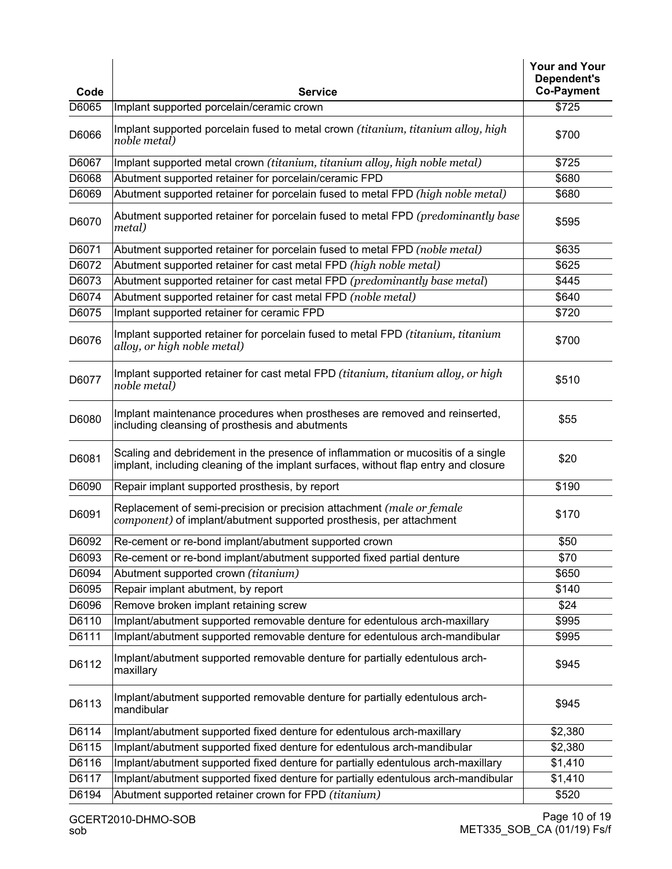| Code  | <b>Service</b>                                                                                                                                                          | <b>Your and Your</b><br>Dependent's<br><b>Co-Payment</b> |
|-------|-------------------------------------------------------------------------------------------------------------------------------------------------------------------------|----------------------------------------------------------|
| D6065 | Implant supported porcelain/ceramic crown                                                                                                                               | \$725                                                    |
| D6066 | Implant supported porcelain fused to metal crown (titanium, titanium alloy, high<br>noble metal)                                                                        | \$700                                                    |
| D6067 | Implant supported metal crown (titanium, titanium alloy, high noble metal)                                                                                              | \$725                                                    |
| D6068 | Abutment supported retainer for porcelain/ceramic FPD                                                                                                                   | \$680                                                    |
| D6069 | Abutment supported retainer for porcelain fused to metal FPD (high noble metal)                                                                                         | \$680                                                    |
| D6070 | Abutment supported retainer for porcelain fused to metal FPD (predominantly base<br>metal)                                                                              | \$595                                                    |
| D6071 | Abutment supported retainer for porcelain fused to metal FPD (noble metal)                                                                                              | \$635                                                    |
| D6072 | Abutment supported retainer for cast metal FPD (high noble metal)                                                                                                       | \$625                                                    |
| D6073 | Abutment supported retainer for cast metal FPD (predominantly base metal)                                                                                               | \$445                                                    |
| D6074 | Abutment supported retainer for cast metal FPD (noble metal)                                                                                                            | \$640                                                    |
| D6075 | Implant supported retainer for ceramic FPD                                                                                                                              | \$720                                                    |
| D6076 | Implant supported retainer for porcelain fused to metal FPD (titanium, titanium<br>alloy, or high noble metal)                                                          | \$700                                                    |
| D6077 | Implant supported retainer for cast metal FPD (titanium, titanium alloy, or high<br>noble metal)                                                                        | \$510                                                    |
| D6080 | Implant maintenance procedures when prostheses are removed and reinserted,<br>including cleansing of prosthesis and abutments                                           | \$55                                                     |
| D6081 | Scaling and debridement in the presence of inflammation or mucositis of a single<br>implant, including cleaning of the implant surfaces, without flap entry and closure | \$20                                                     |
| D6090 | Repair implant supported prosthesis, by report                                                                                                                          | \$190                                                    |
| D6091 | Replacement of semi-precision or precision attachment (male or female<br>component) of implant/abutment supported prosthesis, per attachment                            | \$170                                                    |
| D6092 | Re-cement or re-bond implant/abutment supported crown                                                                                                                   | \$50                                                     |
| D6093 | Re-cement or re-bond implant/abutment supported fixed partial denture                                                                                                   | \$70                                                     |
| D6094 | Abutment supported crown (titanium)                                                                                                                                     | \$650                                                    |
| D6095 | Repair implant abutment, by report                                                                                                                                      | \$140                                                    |
| D6096 | Remove broken implant retaining screw                                                                                                                                   | \$24                                                     |
| D6110 | Implant/abutment supported removable denture for edentulous arch-maxillary                                                                                              | \$995                                                    |
| D6111 | Implant/abutment supported removable denture for edentulous arch-mandibular                                                                                             | \$995                                                    |
| D6112 | Implant/abutment supported removable denture for partially edentulous arch-<br>maxillary                                                                                | \$945                                                    |
| D6113 | Implant/abutment supported removable denture for partially edentulous arch-<br>mandibular                                                                               | \$945                                                    |
| D6114 | Implant/abutment supported fixed denture for edentulous arch-maxillary                                                                                                  | \$2,380                                                  |
| D6115 | Implant/abutment supported fixed denture for edentulous arch-mandibular                                                                                                 | \$2,380                                                  |
| D6116 | Implant/abutment supported fixed denture for partially edentulous arch-maxillary                                                                                        | \$1,410                                                  |
| D6117 | Implant/abutment supported fixed denture for partially edentulous arch-mandibular                                                                                       | \$1,410                                                  |
| D6194 | Abutment supported retainer crown for FPD (titanium)                                                                                                                    | \$520                                                    |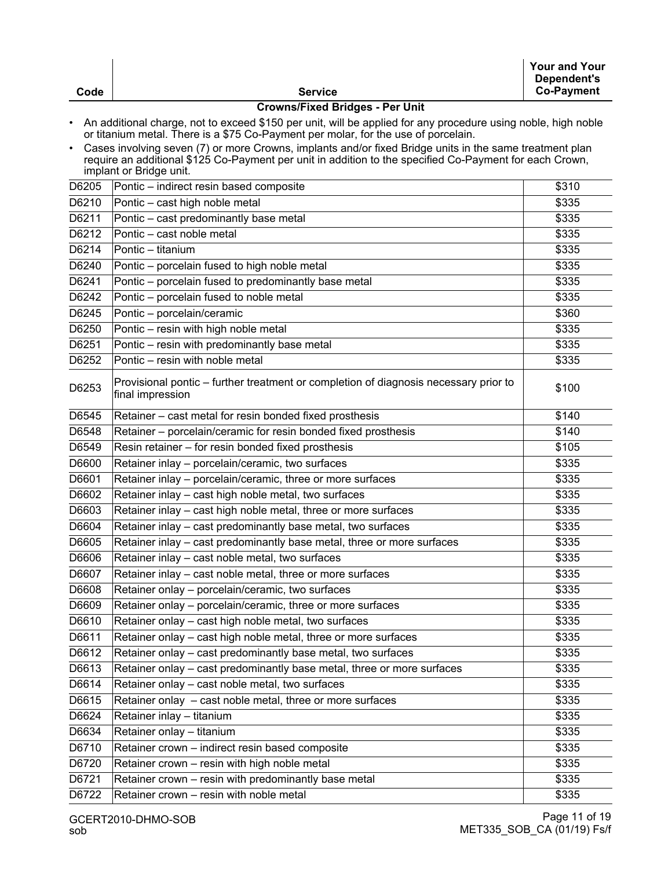| Code      | <b>Service</b>                                                                                                                                                                                                                                | <b>Your and Your</b><br>Dependent's<br><b>Co-Payment</b> |  |
|-----------|-----------------------------------------------------------------------------------------------------------------------------------------------------------------------------------------------------------------------------------------------|----------------------------------------------------------|--|
|           | <b>Crowns/Fixed Bridges - Per Unit</b>                                                                                                                                                                                                        |                                                          |  |
| $\bullet$ | An additional charge, not to exceed \$150 per unit, will be applied for any procedure using noble, high noble<br>or titanium metal. There is a \$75 Co-Payment per molar, for the use of porcelain.                                           |                                                          |  |
| $\bullet$ | Cases involving seven (7) or more Crowns, implants and/or fixed Bridge units in the same treatment plan<br>require an additional \$125 Co-Payment per unit in addition to the specified Co-Payment for each Crown,<br>implant or Bridge unit. |                                                          |  |
| D6205     | Pontic – indirect resin based composite                                                                                                                                                                                                       | \$310                                                    |  |
| D6210     | Pontic - cast high noble metal                                                                                                                                                                                                                | \$335                                                    |  |
| D6211     | Pontic - cast predominantly base metal                                                                                                                                                                                                        | \$335                                                    |  |
| D6212     | Pontic - cast noble metal                                                                                                                                                                                                                     | \$335                                                    |  |
| D6214     | Pontic - titanium                                                                                                                                                                                                                             | \$335                                                    |  |
| D6240     | Pontic - porcelain fused to high noble metal                                                                                                                                                                                                  | \$335                                                    |  |
| D6241     | Pontic - porcelain fused to predominantly base metal                                                                                                                                                                                          | \$335                                                    |  |
| D6242     | Pontic - porcelain fused to noble metal                                                                                                                                                                                                       | \$335                                                    |  |
| D6245     | Pontic - porcelain/ceramic                                                                                                                                                                                                                    | \$360                                                    |  |
| D6250     | Pontic - resin with high noble metal                                                                                                                                                                                                          | \$335                                                    |  |
| D6251     | Pontic - resin with predominantly base metal                                                                                                                                                                                                  | \$335                                                    |  |
| D6252     | Pontic - resin with noble metal                                                                                                                                                                                                               | \$335                                                    |  |
| D6253     | Provisional pontic – further treatment or completion of diagnosis necessary prior to<br>final impression                                                                                                                                      | \$100                                                    |  |
| D6545     | Retainer - cast metal for resin bonded fixed prosthesis                                                                                                                                                                                       | \$140                                                    |  |
| D6548     | Retainer - porcelain/ceramic for resin bonded fixed prosthesis                                                                                                                                                                                | \$140                                                    |  |
| D6549     | Resin retainer - for resin bonded fixed prosthesis                                                                                                                                                                                            | \$105                                                    |  |
| D6600     | Retainer inlay - porcelain/ceramic, two surfaces                                                                                                                                                                                              | \$335                                                    |  |
| D6601     | Retainer inlay - porcelain/ceramic, three or more surfaces                                                                                                                                                                                    | \$335                                                    |  |
| D6602     | Retainer inlay - cast high noble metal, two surfaces                                                                                                                                                                                          | \$335                                                    |  |
| D6603     | Retainer inlay - cast high noble metal, three or more surfaces                                                                                                                                                                                | \$335                                                    |  |
| D6604     | Retainer inlay - cast predominantly base metal, two surfaces                                                                                                                                                                                  | \$335                                                    |  |
| D6605     | Retainer inlay - cast predominantly base metal, three or more surfaces                                                                                                                                                                        | \$335                                                    |  |
| D6606     | Retainer inlay - cast noble metal, two surfaces                                                                                                                                                                                               | \$335                                                    |  |
| D6607     | Retainer inlay - cast noble metal, three or more surfaces                                                                                                                                                                                     | \$335                                                    |  |
| D6608     | Retainer onlay - porcelain/ceramic, two surfaces                                                                                                                                                                                              | \$335                                                    |  |
| D6609     | Retainer onlay - porcelain/ceramic, three or more surfaces                                                                                                                                                                                    | \$335                                                    |  |
| D6610     | Retainer onlay - cast high noble metal, two surfaces                                                                                                                                                                                          | \$335                                                    |  |
| D6611     | Retainer onlay - cast high noble metal, three or more surfaces                                                                                                                                                                                | \$335                                                    |  |
| D6612     | Retainer onlay - cast predominantly base metal, two surfaces                                                                                                                                                                                  | \$335                                                    |  |
| D6613     | Retainer onlay - cast predominantly base metal, three or more surfaces                                                                                                                                                                        | \$335                                                    |  |
| D6614     | Retainer onlay - cast noble metal, two surfaces                                                                                                                                                                                               | \$335                                                    |  |
| D6615     | Retainer onlay - cast noble metal, three or more surfaces                                                                                                                                                                                     | \$335                                                    |  |
| D6624     | Retainer inlay - titanium                                                                                                                                                                                                                     | \$335                                                    |  |
| D6634     | Retainer onlay - titanium                                                                                                                                                                                                                     | \$335                                                    |  |
| D6710     | Retainer crown - indirect resin based composite                                                                                                                                                                                               | \$335                                                    |  |
| D6720     | Retainer crown - resin with high noble metal                                                                                                                                                                                                  | \$335                                                    |  |
| D6721     | Retainer crown - resin with predominantly base metal                                                                                                                                                                                          | \$335                                                    |  |
| D6722     | Retainer crown - resin with noble metal                                                                                                                                                                                                       | \$335                                                    |  |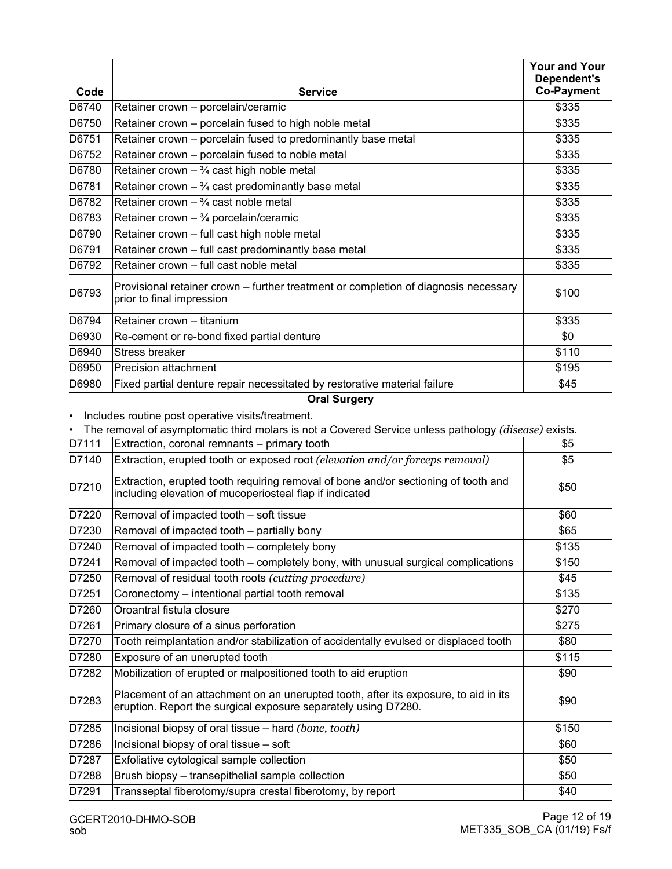| Code  | <b>Service</b>                                                                                                                                                                                            | <b>Your and Your</b><br>Dependent's<br><b>Co-Payment</b> |
|-------|-----------------------------------------------------------------------------------------------------------------------------------------------------------------------------------------------------------|----------------------------------------------------------|
| D6740 | Retainer crown - porcelain/ceramic                                                                                                                                                                        | \$335                                                    |
| D6750 | Retainer crown - porcelain fused to high noble metal                                                                                                                                                      | \$335                                                    |
| D6751 | Retainer crown - porcelain fused to predominantly base metal                                                                                                                                              | \$335                                                    |
| D6752 | Retainer crown - porcelain fused to noble metal                                                                                                                                                           | \$335                                                    |
| D6780 | Retainer crown $ \frac{3}{4}$ cast high noble metal                                                                                                                                                       | \$335                                                    |
| D6781 | Retainer crown $ \frac{3}{4}$ cast predominantly base metal                                                                                                                                               | \$335                                                    |
| D6782 | Retainer crown $ \frac{3}{4}$ cast noble metal                                                                                                                                                            | \$335                                                    |
| D6783 | Retainer crown $ \frac{3}{4}$ porcelain/ceramic                                                                                                                                                           | \$335                                                    |
| D6790 | Retainer crown - full cast high noble metal                                                                                                                                                               | \$335                                                    |
| D6791 | Retainer crown - full cast predominantly base metal                                                                                                                                                       | \$335                                                    |
| D6792 | Retainer crown - full cast noble metal                                                                                                                                                                    | \$335                                                    |
| D6793 | Provisional retainer crown – further treatment or completion of diagnosis necessary<br>prior to final impression                                                                                          | \$100                                                    |
| D6794 | Retainer crown - titanium                                                                                                                                                                                 | \$335                                                    |
| D6930 | Re-cement or re-bond fixed partial denture                                                                                                                                                                | \$0                                                      |
| D6940 | <b>Stress breaker</b>                                                                                                                                                                                     | \$110                                                    |
| D6950 | Precision attachment                                                                                                                                                                                      | \$195                                                    |
| D6980 | Fixed partial denture repair necessitated by restorative material failure                                                                                                                                 | \$45                                                     |
| D7111 | Includes routine post operative visits/treatment.<br>The removal of asymptomatic third molars is not a Covered Service unless pathology (disease) exists.<br>Extraction, coronal remnants - primary tooth | \$5                                                      |
| D7140 | Extraction, erupted tooth or exposed root (elevation and/or forceps removal)                                                                                                                              | \$5                                                      |
| D7210 | Extraction, erupted tooth requiring removal of bone and/or sectioning of tooth and<br>including elevation of mucoperiosteal flap if indicated                                                             | \$50                                                     |
| D7220 | Removal of impacted tooth - soft tissue                                                                                                                                                                   | \$60                                                     |
| D7230 | Removal of impacted tooth - partially bony                                                                                                                                                                | \$65                                                     |
| D7240 | Removal of impacted tooth - completely bony                                                                                                                                                               | \$135                                                    |
| D7241 | Removal of impacted tooth – completely bony, with unusual surgical complications                                                                                                                          | \$150                                                    |
| D7250 | Removal of residual tooth roots (cutting procedure)                                                                                                                                                       | \$45                                                     |
| D7251 | Coronectomy - intentional partial tooth removal                                                                                                                                                           | \$135                                                    |
| D7260 | Oroantral fistula closure                                                                                                                                                                                 | \$270                                                    |
| D7261 | Primary closure of a sinus perforation                                                                                                                                                                    | \$275                                                    |
| D7270 | Tooth reimplantation and/or stabilization of accidentally evulsed or displaced tooth                                                                                                                      | \$80                                                     |
| D7280 | Exposure of an unerupted tooth                                                                                                                                                                            | \$115                                                    |
| D7282 | Mobilization of erupted or malpositioned tooth to aid eruption                                                                                                                                            | \$90                                                     |
| D7283 | Placement of an attachment on an unerupted tooth, after its exposure, to aid in its<br>eruption. Report the surgical exposure separately using D7280.                                                     | \$90                                                     |
| D7285 | Incisional biopsy of oral tissue - hard (bone, tooth)                                                                                                                                                     | \$150                                                    |
| D7286 | Incisional biopsy of oral tissue - soft                                                                                                                                                                   | \$60                                                     |
| D7287 | Exfoliative cytological sample collection                                                                                                                                                                 | \$50                                                     |
| D7288 | Brush biopsy - transepithelial sample collection                                                                                                                                                          | \$50                                                     |
| D7291 | Transseptal fiberotomy/supra crestal fiberotomy, by report                                                                                                                                                | \$40                                                     |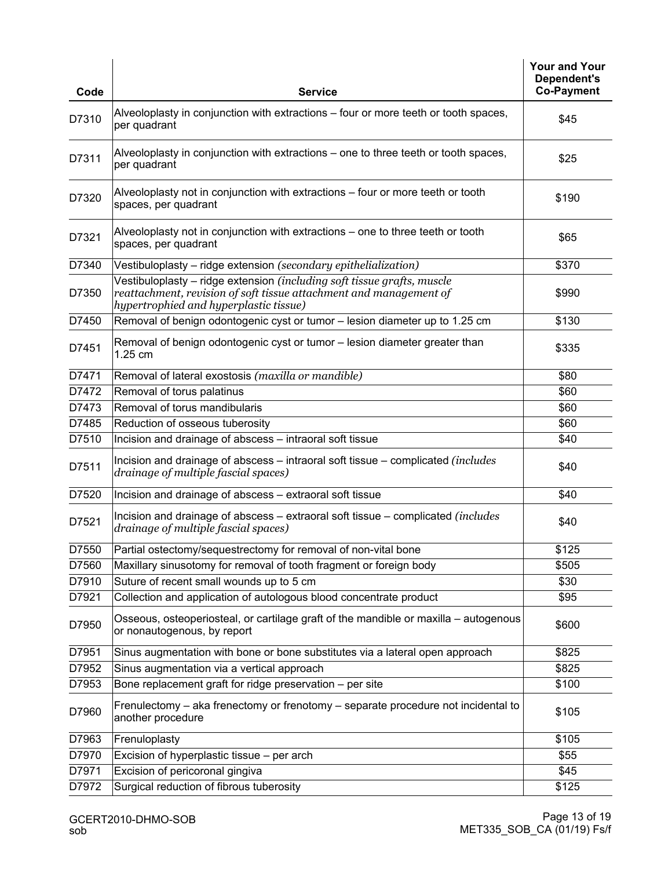| Code  | <b>Service</b>                                                                                                                                                                          | <b>Your and Your</b><br>Dependent's<br><b>Co-Payment</b> |
|-------|-----------------------------------------------------------------------------------------------------------------------------------------------------------------------------------------|----------------------------------------------------------|
| D7310 | Alveoloplasty in conjunction with extractions – four or more teeth or tooth spaces,<br>per quadrant                                                                                     | \$45                                                     |
| D7311 | Alveoloplasty in conjunction with extractions – one to three teeth or tooth spaces,<br>per quadrant                                                                                     | \$25                                                     |
| D7320 | Alveoloplasty not in conjunction with extractions – four or more teeth or tooth<br>spaces, per quadrant                                                                                 | \$190                                                    |
| D7321 | Alveoloplasty not in conjunction with extractions – one to three teeth or tooth<br>spaces, per quadrant                                                                                 | \$65                                                     |
| D7340 | Vestibuloplasty - ridge extension (secondary epithelialization)                                                                                                                         | \$370                                                    |
| D7350 | Vestibuloplasty – ridge extension (including soft tissue grafts, muscle<br>reattachment, revision of soft tissue attachment and management of<br>hypertrophied and hyperplastic tissue) | \$990                                                    |
| D7450 | Removal of benign odontogenic cyst or tumor - lesion diameter up to 1.25 cm                                                                                                             | \$130                                                    |
| D7451 | Removal of benign odontogenic cyst or tumor - lesion diameter greater than<br>1.25 cm                                                                                                   | \$335                                                    |
| D7471 | Removal of lateral exostosis (maxilla or mandible)                                                                                                                                      | \$80                                                     |
| D7472 | Removal of torus palatinus                                                                                                                                                              | \$60                                                     |
| D7473 | Removal of torus mandibularis                                                                                                                                                           | \$60                                                     |
| D7485 | Reduction of osseous tuberosity                                                                                                                                                         | \$60                                                     |
| D7510 | Incision and drainage of abscess - intraoral soft tissue                                                                                                                                | \$40                                                     |
| D7511 | Incision and drainage of abscess – intraoral soft tissue – complicated (includes<br>drainage of multiple fascial spaces)                                                                | \$40                                                     |
| D7520 | Incision and drainage of abscess - extraoral soft tissue                                                                                                                                | \$40                                                     |
| D7521 | Incision and drainage of abscess - extraoral soft tissue - complicated (includes<br>drainage of multiple fascial spaces)                                                                | \$40                                                     |
| D7550 | Partial ostectomy/sequestrectomy for removal of non-vital bone                                                                                                                          | \$125                                                    |
| D7560 | Maxillary sinusotomy for removal of tooth fragment or foreign body                                                                                                                      | \$505                                                    |
| D7910 | Suture of recent small wounds up to 5 cm                                                                                                                                                | \$30                                                     |
| D7921 | Collection and application of autologous blood concentrate product                                                                                                                      | \$95                                                     |
| D7950 | Osseous, osteoperiosteal, or cartilage graft of the mandible or maxilla - autogenous<br>or nonautogenous, by report                                                                     | \$600                                                    |
| D7951 | Sinus augmentation with bone or bone substitutes via a lateral open approach                                                                                                            | \$825                                                    |
| D7952 | Sinus augmentation via a vertical approach                                                                                                                                              | \$825                                                    |
| D7953 | Bone replacement graft for ridge preservation - per site                                                                                                                                | \$100                                                    |
| D7960 | Frenulectomy – aka frenectomy or frenotomy – separate procedure not incidental to<br>another procedure                                                                                  | \$105                                                    |
| D7963 | Frenuloplasty                                                                                                                                                                           | \$105                                                    |
| D7970 | Excision of hyperplastic tissue - per arch                                                                                                                                              | \$55                                                     |
| D7971 | Excision of pericoronal gingiva                                                                                                                                                         | \$45                                                     |
| D7972 | Surgical reduction of fibrous tuberosity                                                                                                                                                | \$125                                                    |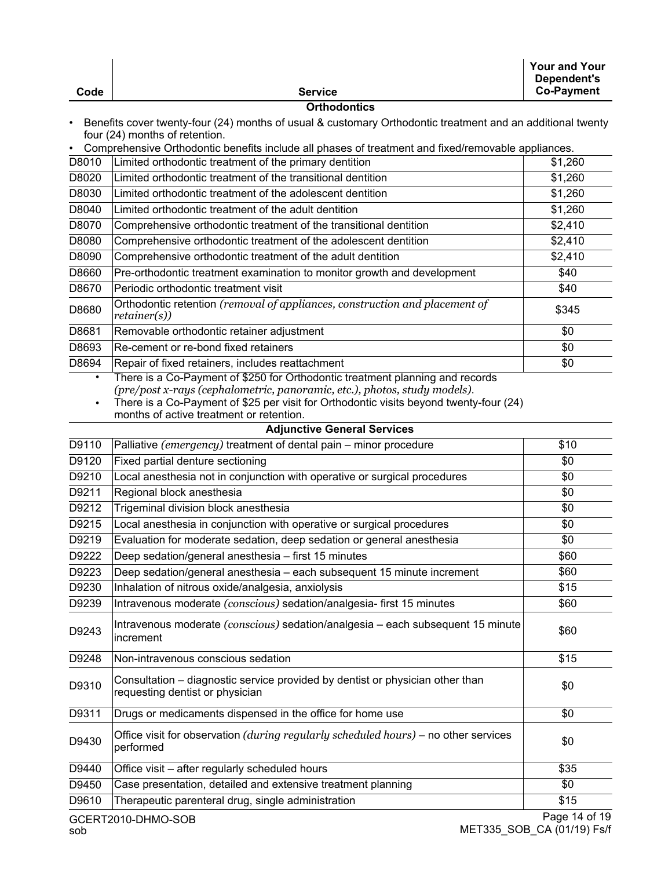|                                                                                                                                              |                                                                                                                                                            | <b>Your and Your</b><br><b>Dependent's</b><br><b>Co-Payment</b> |  |  |
|----------------------------------------------------------------------------------------------------------------------------------------------|------------------------------------------------------------------------------------------------------------------------------------------------------------|-----------------------------------------------------------------|--|--|
| Code                                                                                                                                         | <b>Service</b><br><b>Orthodontics</b>                                                                                                                      |                                                                 |  |  |
| Benefits cover twenty-four (24) months of usual & customary Orthodontic treatment and an additional twenty<br>four (24) months of retention. |                                                                                                                                                            |                                                                 |  |  |
|                                                                                                                                              | Comprehensive Orthodontic benefits include all phases of treatment and fixed/removable appliances.                                                         |                                                                 |  |  |
| D8010                                                                                                                                        | Limited orthodontic treatment of the primary dentition                                                                                                     | \$1,260                                                         |  |  |
| D8020                                                                                                                                        | Limited orthodontic treatment of the transitional dentition                                                                                                | \$1,260                                                         |  |  |
| D8030                                                                                                                                        | Limited orthodontic treatment of the adolescent dentition                                                                                                  | \$1,260                                                         |  |  |
| D8040                                                                                                                                        | Limited orthodontic treatment of the adult dentition                                                                                                       | \$1,260                                                         |  |  |
| D8070                                                                                                                                        | Comprehensive orthodontic treatment of the transitional dentition                                                                                          | \$2,410                                                         |  |  |
| D8080                                                                                                                                        | Comprehensive orthodontic treatment of the adolescent dentition                                                                                            | \$2,410                                                         |  |  |
| D8090                                                                                                                                        | Comprehensive orthodontic treatment of the adult dentition                                                                                                 | \$2,410                                                         |  |  |
| D8660                                                                                                                                        | Pre-orthodontic treatment examination to monitor growth and development                                                                                    | \$40                                                            |  |  |
| D8670                                                                                                                                        | Periodic orthodontic treatment visit                                                                                                                       | \$40                                                            |  |  |
| D8680                                                                                                                                        | Orthodontic retention (removal of appliances, construction and placement of<br>retainer(s))                                                                | \$345                                                           |  |  |
| D8681                                                                                                                                        | Removable orthodontic retainer adjustment                                                                                                                  | \$0                                                             |  |  |
| D8693                                                                                                                                        | Re-cement or re-bond fixed retainers                                                                                                                       | \$0                                                             |  |  |
| D8694                                                                                                                                        | Repair of fixed retainers, includes reattachment                                                                                                           | \$0                                                             |  |  |
| $\bullet$                                                                                                                                    | There is a Co-Payment of \$250 for Orthodontic treatment planning and records<br>(pre/post x-rays (cephalometric, panoramic, etc.), photos, study models). |                                                                 |  |  |
| $\bullet$                                                                                                                                    | There is a Co-Payment of \$25 per visit for Orthodontic visits beyond twenty-four (24)<br>months of active treatment or retention.                         |                                                                 |  |  |
|                                                                                                                                              | <b>Adjunctive General Services</b>                                                                                                                         |                                                                 |  |  |
| D9110                                                                                                                                        | Palliative (emergency) treatment of dental pain – minor procedure                                                                                          | \$10                                                            |  |  |
| D9120                                                                                                                                        | Fixed partial denture sectioning                                                                                                                           | \$0                                                             |  |  |
| D9210                                                                                                                                        | Local anesthesia not in conjunction with operative or surgical procedures                                                                                  | \$0                                                             |  |  |
| D9211                                                                                                                                        | Regional block anesthesia                                                                                                                                  | \$0                                                             |  |  |
| D9212                                                                                                                                        | Trigeminal division block anesthesia                                                                                                                       | \$0                                                             |  |  |
| D9215                                                                                                                                        | Local anesthesia in conjunction with operative or surgical procedures                                                                                      | \$0                                                             |  |  |
| D9219                                                                                                                                        | Evaluation for moderate sedation, deep sedation or general anesthesia                                                                                      | \$0                                                             |  |  |
| D9222                                                                                                                                        |                                                                                                                                                            |                                                                 |  |  |
|                                                                                                                                              | Deep sedation/general anesthesia - first 15 minutes                                                                                                        | \$60                                                            |  |  |
| D9223                                                                                                                                        | Deep sedation/general anesthesia - each subsequent 15 minute increment                                                                                     | \$60                                                            |  |  |
| D9230                                                                                                                                        | Inhalation of nitrous oxide/analgesia, anxiolysis                                                                                                          | \$15                                                            |  |  |
| D9239                                                                                                                                        | Intravenous moderate (conscious) sedation/analgesia- first 15 minutes                                                                                      | \$60                                                            |  |  |
| D9243                                                                                                                                        | Intravenous moderate (conscious) sedation/analgesia - each subsequent 15 minute<br>increment                                                               | \$60                                                            |  |  |
| D9248                                                                                                                                        | Non-intravenous conscious sedation                                                                                                                         | \$15                                                            |  |  |
| D9310                                                                                                                                        | Consultation – diagnostic service provided by dentist or physician other than<br>requesting dentist or physician                                           | \$0                                                             |  |  |
| D9311                                                                                                                                        | Drugs or medicaments dispensed in the office for home use                                                                                                  | \$0                                                             |  |  |
| D9430                                                                                                                                        | Office visit for observation (during regularly scheduled hours) – no other services<br>performed                                                           | \$0                                                             |  |  |
| D9440                                                                                                                                        | Office visit - after regularly scheduled hours                                                                                                             | \$35                                                            |  |  |
| D9450                                                                                                                                        | Case presentation, detailed and extensive treatment planning                                                                                               | \$0                                                             |  |  |
| D9610                                                                                                                                        | Therapeutic parenteral drug, single administration                                                                                                         | \$15                                                            |  |  |
|                                                                                                                                              | GCERT2010-DHMO-SOB                                                                                                                                         | Page 14 of 19                                                   |  |  |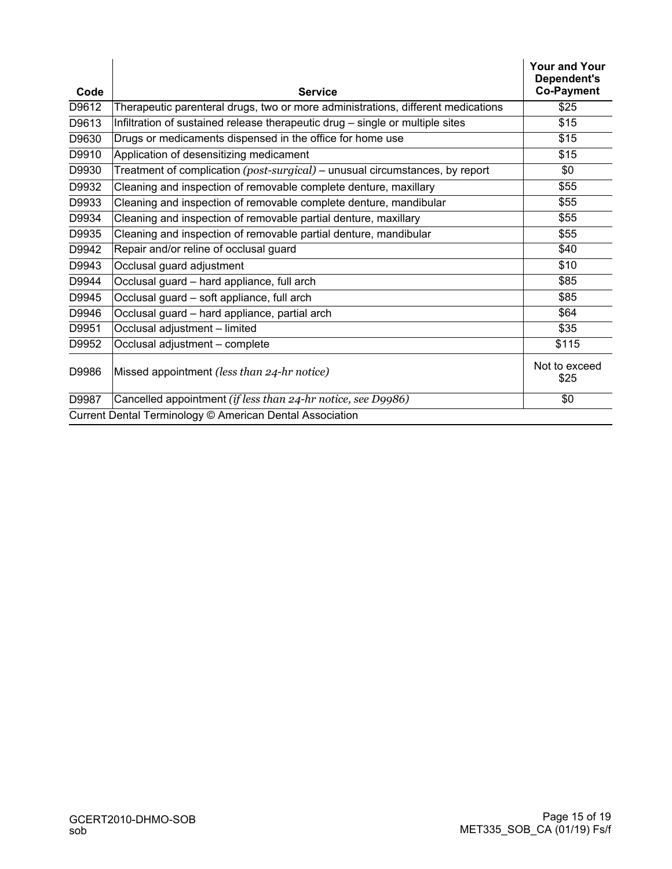| Code  | <b>Service</b>                                                                   | <b>Your and Your</b><br>Dependent's<br><b>Co-Payment</b> |
|-------|----------------------------------------------------------------------------------|----------------------------------------------------------|
| D9612 | Therapeutic parenteral drugs, two or more administrations, different medications | \$25                                                     |
| D9613 | Infiltration of sustained release therapeutic drug – single or multiple sites    | \$15                                                     |
| D9630 | Drugs or medicaments dispensed in the office for home use                        | \$15                                                     |
| D9910 | Application of desensitizing medicament                                          | \$15                                                     |
| D9930 | Treatment of complication (post-surgical) – unusual circumstances, by report     | \$0                                                      |
| D9932 | Cleaning and inspection of removable complete denture, maxillary                 | \$55                                                     |
| D9933 | Cleaning and inspection of removable complete denture, mandibular                | \$55                                                     |
| D9934 | Cleaning and inspection of removable partial denture, maxillary                  | \$55                                                     |
| D9935 | Cleaning and inspection of removable partial denture, mandibular                 | \$55                                                     |
| D9942 | Repair and/or reline of occlusal guard                                           | \$40                                                     |
| D9943 | Occlusal guard adjustment                                                        | \$10                                                     |
| D9944 | Occlusal guard - hard appliance, full arch                                       | \$85                                                     |
| D9945 | Occlusal guard - soft appliance, full arch                                       | \$85                                                     |
| D9946 | Occlusal guard - hard appliance, partial arch                                    | \$64                                                     |
| D9951 | Occlusal adjustment - limited                                                    | \$35                                                     |
| D9952 | Occlusal adjustment - complete                                                   | \$115                                                    |
| D9986 | Missed appointment (less than 24-hr notice)                                      | Not to exceed<br>\$25                                    |
| D9987 | Cancelled appointment (if less than 24-hr notice, see D9986)                     | \$0                                                      |
|       | Current Dental Terminology © American Dental Association                         |                                                          |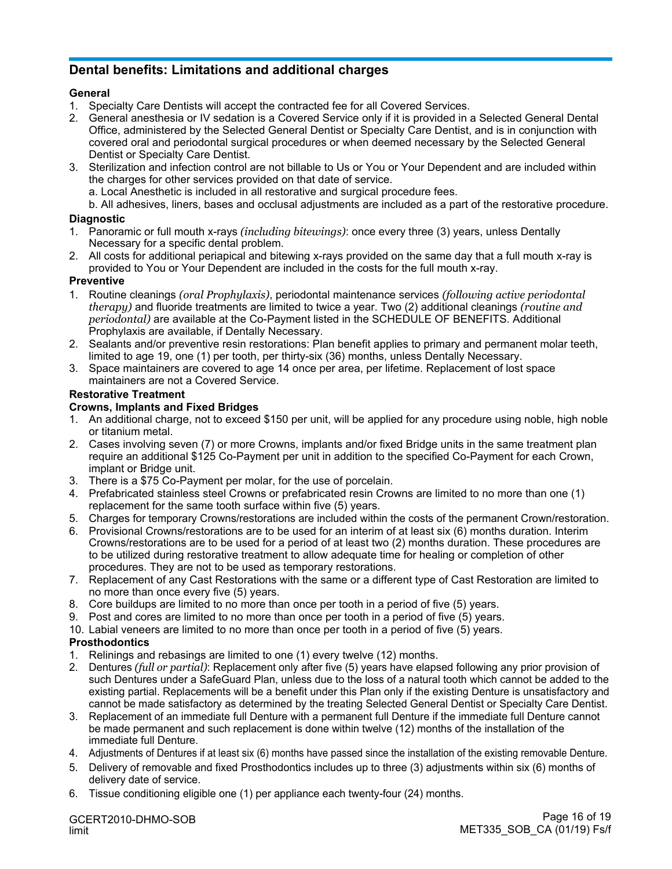## **Dental benefits: Limitations and additional charges**

#### **General**

- 1. Specialty Care Dentists will accept the contracted fee for all Covered Services.
- 2. General anesthesia or IV sedation is a Covered Service only if it is provided in a Selected General Dental Office, administered by the Selected General Dentist or Specialty Care Dentist, and is in conjunction with covered oral and periodontal surgical procedures or when deemed necessary by the Selected General Dentist or Specialty Care Dentist.
- 3. Sterilization and infection control are not billable to Us or You or Your Dependent and are included within the charges for other services provided on that date of service.
	- a. Local Anesthetic is included in all restorative and surgical procedure fees.

b. All adhesives, liners, bases and occlusal adjustments are included as a part of the restorative procedure.

#### **Diagnostic**

- 1. Panoramic or full mouth x-rays *(including bitewings)*: once every three (3) years, unless Dentally Necessary for a specific dental problem.
- 2. All costs for additional periapical and bitewing x-rays provided on the same day that a full mouth x-ray is provided to You or Your Dependent are included in the costs for the full mouth x-ray.

#### **Preventive**

- 1. Routine cleanings *(oral Prophylaxis)*, periodontal maintenance services *(following active periodontal therapy)* and fluoride treatments are limited to twice a year. Two (2) additional cleanings *(routine and periodontal)* are available at the Co-Payment listed in the SCHEDULE OF BENEFITS. Additional Prophylaxis are available, if Dentally Necessary.
- 2. Sealants and/or preventive resin restorations: Plan benefit applies to primary and permanent molar teeth, limited to age 19, one (1) per tooth, per thirty-six (36) months, unless Dentally Necessary.
- 3. Space maintainers are covered to age 14 once per area, per lifetime. Replacement of lost space maintainers are not a Covered Service.

#### **Restorative Treatment**

#### **Crowns, Implants and Fixed Bridges**

- 1. An additional charge, not to exceed \$150 per unit, will be applied for any procedure using noble, high noble or titanium metal.
- 2. Cases involving seven (7) or more Crowns, implants and/or fixed Bridge units in the same treatment plan require an additional \$125 Co-Payment per unit in addition to the specified Co-Payment for each Crown, implant or Bridge unit.
- 3. There is a \$75 Co-Payment per molar, for the use of porcelain.
- 4. Prefabricated stainless steel Crowns or prefabricated resin Crowns are limited to no more than one (1) replacement for the same tooth surface within five (5) years.
- 5. Charges for temporary Crowns/restorations are included within the costs of the permanent Crown/restoration.
- 6. Provisional Crowns/restorations are to be used for an interim of at least six (6) months duration. Interim Crowns/restorations are to be used for a period of at least two (2) months duration. These procedures are to be utilized during restorative treatment to allow adequate time for healing or completion of other procedures. They are not to be used as temporary restorations.
- 7. Replacement of any Cast Restorations with the same or a different type of Cast Restoration are limited to no more than once every five (5) years.
- 8. Core buildups are limited to no more than once per tooth in a period of five (5) years.
- 9. Post and cores are limited to no more than once per tooth in a period of five (5) years.
- 10. Labial veneers are limited to no more than once per tooth in a period of five (5) years.

#### **Prosthodontics**

- 1. Relinings and rebasings are limited to one (1) every twelve (12) months.
- 2. Dentures *(full or partial)*: Replacement only after five (5) years have elapsed following any prior provision of such Dentures under a SafeGuard Plan, unless due to the loss of a natural tooth which cannot be added to the existing partial. Replacements will be a benefit under this Plan only if the existing Denture is unsatisfactory and cannot be made satisfactory as determined by the treating Selected General Dentist or Specialty Care Dentist.
- 3. Replacement of an immediate full Denture with a permanent full Denture if the immediate full Denture cannot be made permanent and such replacement is done within twelve (12) months of the installation of the immediate full Denture.
- 4. Adjustments of Dentures if at least six (6) months have passed since the installation of the existing removable Denture.
- 5. Delivery of removable and fixed Prosthodontics includes up to three (3) adjustments within six (6) months of delivery date of service.
- 6. Tissue conditioning eligible one (1) per appliance each twenty-four (24) months.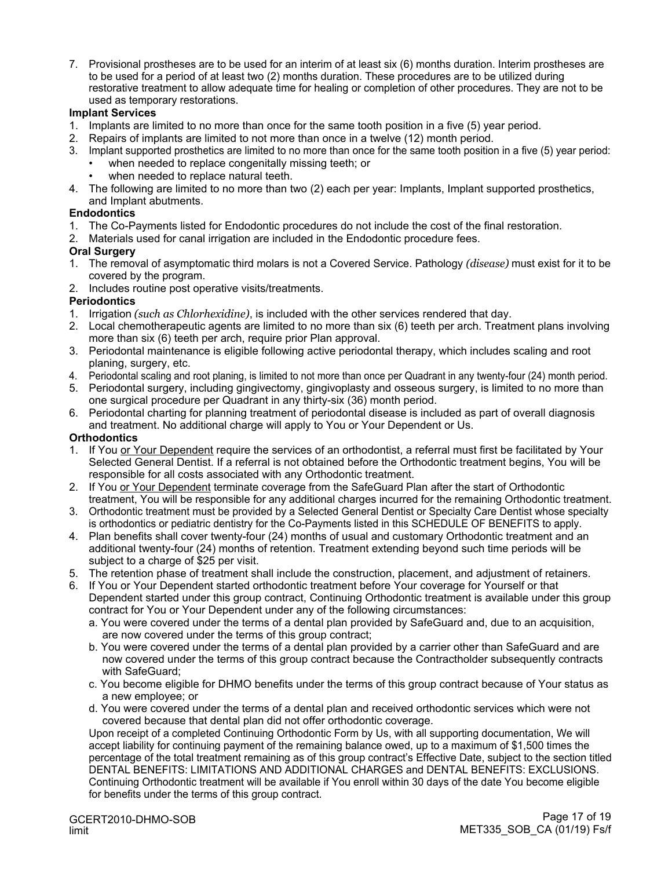7. Provisional prostheses are to be used for an interim of at least six (6) months duration. Interim prostheses are to be used for a period of at least two (2) months duration. These procedures are to be utilized during restorative treatment to allow adequate time for healing or completion of other procedures. They are not to be used as temporary restorations.

#### **Implant Services**

- 1. Implants are limited to no more than once for the same tooth position in a five (5) year period.
- 2. Repairs of implants are limited to not more than once in a twelve (12) month period.
- 3. Implant supported prosthetics are limited to no more than once for the same tooth position in a five (5) year period:
	- when needed to replace congenitally missing teeth; or
	- when needed to replace natural teeth.
- 4. The following are limited to no more than two (2) each per year: Implants, Implant supported prosthetics, and Implant abutments.

#### **Endodontics**

- 1. The Co-Payments listed for Endodontic procedures do not include the cost of the final restoration.
- 2. Materials used for canal irrigation are included in the Endodontic procedure fees.

#### **Oral Surgery**

- 1. The removal of asymptomatic third molars is not a Covered Service. Pathology *(disease)* must exist for it to be covered by the program.
- 2. Includes routine post operative visits/treatments.

#### **Periodontics**

- 1. Irrigation *(such as Chlorhexidine)*, is included with the other services rendered that day.
- 2. Local chemotherapeutic agents are limited to no more than six (6) teeth per arch. Treatment plans involving more than six (6) teeth per arch, require prior Plan approval.
- 3. Periodontal maintenance is eligible following active periodontal therapy, which includes scaling and root planing, surgery, etc.
- 4. Periodontal scaling and root planing, is limited to not more than once per Quadrant in any twenty-four (24) month period.
- 5. Periodontal surgery, including gingivectomy, gingivoplasty and osseous surgery, is limited to no more than one surgical procedure per Quadrant in any thirty-six (36) month period.
- 6. Periodontal charting for planning treatment of periodontal disease is included as part of overall diagnosis and treatment. No additional charge will apply to You or Your Dependent or Us.

#### **Orthodontics**

- 1. If You or Your Dependent require the services of an orthodontist, a referral must first be facilitated by Your Selected General Dentist. If a referral is not obtained before the Orthodontic treatment begins, You will be responsible for all costs associated with any Orthodontic treatment.
- 2. If You or Your Dependent terminate coverage from the SafeGuard Plan after the start of Orthodontic treatment, You will be responsible for any additional charges incurred for the remaining Orthodontic treatment.
- 3. Orthodontic treatment must be provided by a Selected General Dentist or Specialty Care Dentist whose specialty is orthodontics or pediatric dentistry for the Co-Payments listed in this SCHEDULE OF BENEFITS to apply.
- 4. Plan benefits shall cover twenty-four (24) months of usual and customary Orthodontic treatment and an additional twenty-four (24) months of retention. Treatment extending beyond such time periods will be subject to a charge of \$25 per visit.
- 5. The retention phase of treatment shall include the construction, placement, and adjustment of retainers.
- 6. If You or Your Dependent started orthodontic treatment before Your coverage for Yourself or that Dependent started under this group contract, Continuing Orthodontic treatment is available under this group contract for You or Your Dependent under any of the following circumstances:
	- a. You were covered under the terms of a dental plan provided by SafeGuard and, due to an acquisition, are now covered under the terms of this group contract;
	- b. You were covered under the terms of a dental plan provided by a carrier other than SafeGuard and are now covered under the terms of this group contract because the Contractholder subsequently contracts with SafeGuard;
	- c. You become eligible for DHMO benefits under the terms of this group contract because of Your status as a new employee; or
	- d. You were covered under the terms of a dental plan and received orthodontic services which were not covered because that dental plan did not offer orthodontic coverage.

Upon receipt of a completed Continuing Orthodontic Form by Us, with all supporting documentation, We will accept liability for continuing payment of the remaining balance owed, up to a maximum of \$1,500 times the percentage of the total treatment remaining as of this group contract's Effective Date, subject to the section titled DENTAL BENEFITS: LIMITATIONS AND ADDITIONAL CHARGES and DENTAL BENEFITS: EXCLUSIONS. Continuing Orthodontic treatment will be available if You enroll within 30 days of the date You become eligible for benefits under the terms of this group contract.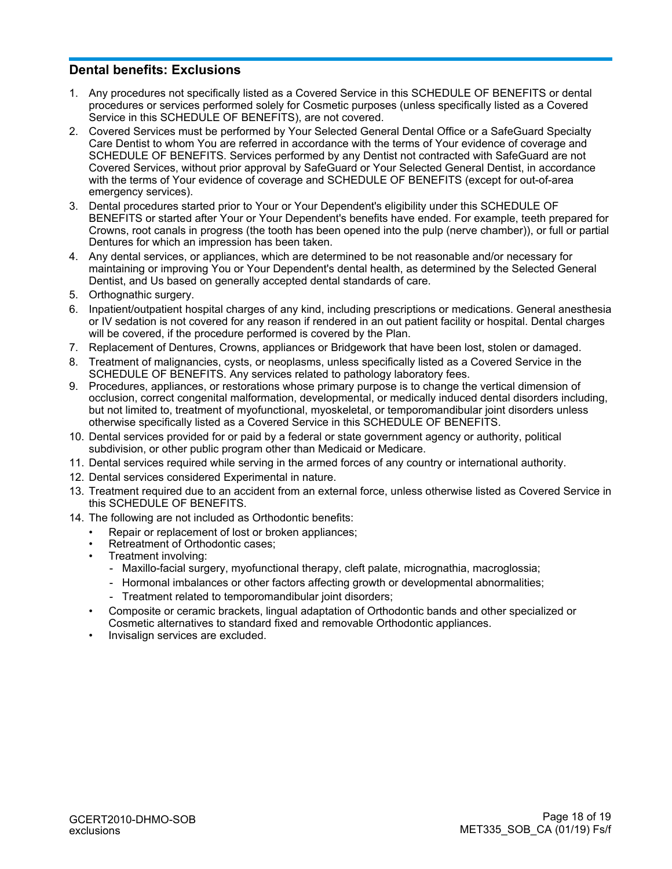## **Dental benefits: Exclusions**

- 1. Any procedures not specifically listed as a Covered Service in this SCHEDULE OF BENEFITS or dental procedures or services performed solely for Cosmetic purposes (unless specifically listed as a Covered Service in this SCHEDULE OF BENEFITS), are not covered.
- 2. Covered Services must be performed by Your Selected General Dental Office or a SafeGuard Specialty Care Dentist to whom You are referred in accordance with the terms of Your evidence of coverage and SCHEDULE OF BENEFITS. Services performed by any Dentist not contracted with SafeGuard are not Covered Services, without prior approval by SafeGuard or Your Selected General Dentist, in accordance with the terms of Your evidence of coverage and SCHEDULE OF BENEFITS (except for out-of-area emergency services).
- 3. Dental procedures started prior to Your or Your Dependent's eligibility under this SCHEDULE OF BENEFITS or started after Your or Your Dependent's benefits have ended. For example, teeth prepared for Crowns, root canals in progress (the tooth has been opened into the pulp (nerve chamber)), or full or partial Dentures for which an impression has been taken.
- 4. Any dental services, or appliances, which are determined to be not reasonable and/or necessary for maintaining or improving You or Your Dependent's dental health, as determined by the Selected General Dentist, and Us based on generally accepted dental standards of care.
- 5. Orthognathic surgery.
- 6. Inpatient/outpatient hospital charges of any kind, including prescriptions or medications. General anesthesia or IV sedation is not covered for any reason if rendered in an out patient facility or hospital. Dental charges will be covered, if the procedure performed is covered by the Plan.
- 7. Replacement of Dentures, Crowns, appliances or Bridgework that have been lost, stolen or damaged.
- 8. Treatment of malignancies, cysts, or neoplasms, unless specifically listed as a Covered Service in the SCHEDULE OF BENEFITS. Any services related to pathology laboratory fees.
- 9. Procedures, appliances, or restorations whose primary purpose is to change the vertical dimension of occlusion, correct congenital malformation, developmental, or medically induced dental disorders including, but not limited to, treatment of myofunctional, myoskeletal, or temporomandibular joint disorders unless otherwise specifically listed as a Covered Service in this SCHEDULE OF BENEFITS.
- 10. Dental services provided for or paid by a federal or state government agency or authority, political subdivision, or other public program other than Medicaid or Medicare.
- 11. Dental services required while serving in the armed forces of any country or international authority.
- 12. Dental services considered Experimental in nature.
- 13. Treatment required due to an accident from an external force, unless otherwise listed as Covered Service in this SCHEDULE OF BENEFITS.
- 14. The following are not included as Orthodontic benefits:
	- *•* Repair or replacement of lost or broken appliances;
	- *•* Retreatment of Orthodontic cases;
	- *•* Treatment involving:
		- Maxillo-facial surgery, myofunctional therapy, cleft palate, micrognathia, macroglossia;
		- Hormonal imbalances or other factors affecting growth or developmental abnormalities;
		- Treatment related to temporomandibular joint disorders;
	- *•* Composite or ceramic brackets, lingual adaptation of Orthodontic bands and other specialized or Cosmetic alternatives to standard fixed and removable Orthodontic appliances.
	- *•* Invisalign services are excluded.